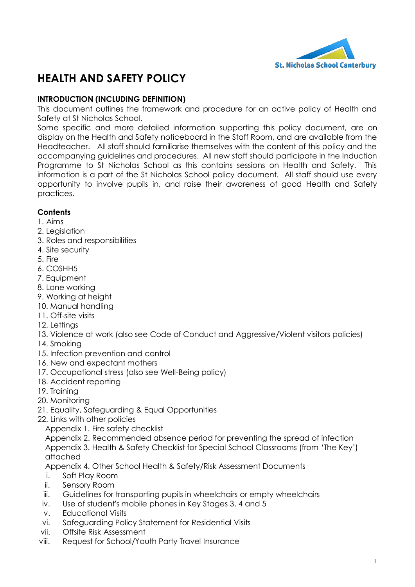

# **HEALTH AND SAFETY POLICY**

## **INTRODUCTION (INCLUDING DEFINITION)**

This document outlines the framework and procedure for an active policy of Health and Safety at St Nicholas School.

Some specific and more detailed information supporting this policy document, are on display on the Health and Safety noticeboard in the Staff Room, and are available from the Headteacher. All staff should familiarise themselves with the content of this policy and the accompanying guidelines and procedures. All new staff should participate in the Induction Programme to St Nicholas School as this contains sessions on Health and Safety. This information is a part of the St Nicholas School policy document. All staff should use every opportunity to involve pupils in, and raise their awareness of good Health and Safety practices.

## **Contents**

- [1. Aims](#page-1-0)
- 2. Leaislation
- [3. Roles and responsibilities](#page-2-0)
- [4. Site security](#page-3-0)
- [5. Fire](#page-3-1)
- [6. COSHH5](#page-4-0)
- [7. Equipment](#page-5-0)
- [8. Lone working](#page-6-0)
- [9. Working at height](#page-6-1)
- [10. Manual handling](#page-6-2)
- [11. Off-site visits](#page-6-3)
- [12. Lettings](#page-7-0)
- 13. Violence at work (also [see Code of Conduct and Aggressive/Violent visitors policies\)](#page-7-1)
- [14. Smoking](#page-7-2)
- [15. Infection prevention and control](#page-7-3)
- [16. New and expectant mothers](#page-8-0)
- 17. Occupational stress [\(also see Well-Being policy\)](#page-8-1)
- [18. Accident reporting](#page-9-0)
- [19. Training](#page-10-0)
- [20. Monitoring](#page-10-1)
- 21. Equality, Safeguarding & Equal Opportunities
- 22. Links with other policies
	- [Appendix 1. Fire safety checklist](#page-10-2)

[Appendix 2. Recommended absence period for preventing the spread of infection](#page-12-0) Appendix 3. Health & [Safety Checklist for Special School Classrooms \(from](#page-12-0) 'The Key') [attached](#page-12-0)

[Appendix 4. Other School Health & Safety/Risk Assessment Documents](#page-12-0)

- i. Soft Play Room
- ii. Sensory Room
- iii. Guidelines for transporting pupils in wheelchairs or empty wheelchairs
- iv. Use of student's mobile phones in Key Stages 3, 4 and 5
- v. Educational Visits
- vi. Safeguarding Policy Statement for Residential Visits
- vii. Offsite Risk Assessment
- viii. Request for School/Youth Party Travel Insurance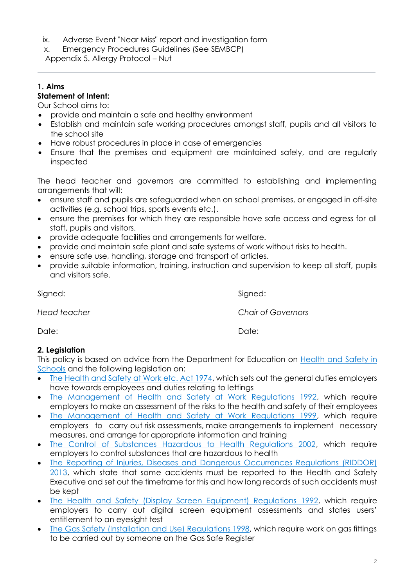- ix. Adverse Event "Near Miss" report and investigation form
- x. Emergency Procedures Guidelines (See SEMBCP)

[Appendix 5. Allergy Protocol](#page-12-0) – Nut

# <span id="page-1-0"></span>**1. Aims**

## **Statement of Intent:**

Our School aims to:

- provide and maintain a safe and healthy environment
- Establish and maintain safe working procedures amongst staff, pupils and all visitors to the school site
- Have robust procedures in place in case of emergencies
- Ensure that the premises and equipment are maintained safely, and are regularly inspected

The head teacher and governors are committed to establishing and implementing arrangements that will:

- ensure staff and pupils are safeguarded when on school premises, or engaged in off-site activities (e.g. school trips, sports events etc.).
- ensure the premises for which they are responsible have safe access and egress for all staff, pupils and visitors.
- provide adequate facilities and arrangements for welfare.
- provide and maintain safe plant and safe systems of work without risks to health.
- ensure safe use, handling, storage and transport of articles.
- provide suitable information, training, instruction and supervision to keep all staff, pupils and visitors safe.

Signed: Signed: Signed: Signed: Signed: Signed: Signed: Signed: Signed: Signed: Signed: Signed: Signed: Signed: Signed: Signed: Signed: Signed: Signed: Signed: Signed: Signed: Signed: Signed: Signed: Signed: Signed: Signed

*Head teacher Chair of Governors*

Date: Date:

## <span id="page-1-1"></span>**2. Legislation**

This policy is based on advice from the Department for Education on Health and Safety in [Schools](https://www.gov.uk/government/publications/health-and-safety-advice-for-schools) and the following legislation on:

- [The Health and Safety at Work etc. Act 1974,](http://www.legislation.gov.uk/ukpga/1974/37) which sets out the general duties employers have towards employees and duties relating to lettings
- [The Management of Health and Safety at Work Regulations 1992,](https://www.legislation.gov.uk/uksi/1992/2051/regulation/3/made) which require employers to make an assessment of the risks to the health and safety of their employees
- [The Management of Health and Safety at Work Regulations 1999,](https://www.legislation.gov.uk/uksi/1999/3242/contents/made) which require employers to carry out risk assessments, make arrangements to implement necessary measures, and arrange for appropriate information and training
- [The Control of Substances Hazardous to Health Regulations 2002,](https://www.legislation.gov.uk/uksi/2002/2677/contents/made) which require employers to control substances that are hazardous to health
- [The Reporting of Injuries, Diseases and Dangerous Occurrences Regulations \(RIDDOR\)](https://www.legislation.gov.uk/uksi/2013/1471/schedule/1/paragraph/1/made)  [2013,](https://www.legislation.gov.uk/uksi/2013/1471/schedule/1/paragraph/1/made) which state that some accidents must be reported to the Health and Safety Executive and set out the timeframe for this and how long records of such accidents must be kept
- [The Health and Safety \(Display Screen Equipment\) Regulations](http://www.legislation.gov.uk/uksi/1992/2792/contents/made) 1992, which require employers to carry out digital screen equipment assessments and states users' entitlement to an eyesight test
- [The Gas Safety \(Installation and Use\) Regulations 1998,](https://www.legislation.gov.uk/uksi/1998/2451/regulation/4/made) which require work on gas fittings to be carried out by someone on the Gas Safe Register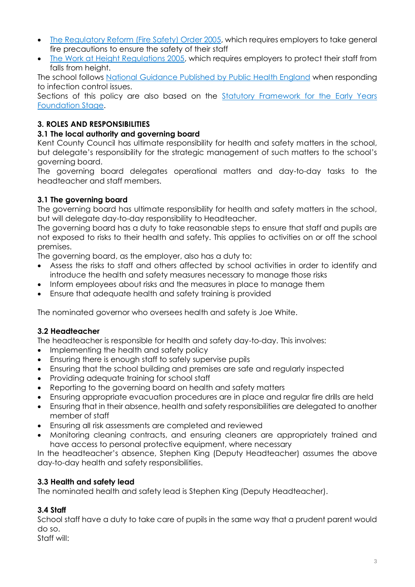- [The Regulatory Reform \(Fire Safety\) Order 2005,](https://www.legislation.gov.uk/uksi/2005/1541/part/2/made) which requires employers to take general fire precautions to ensure the safety of their staff
- [The Work at Height Regulations 2005,](https://www.legislation.gov.uk/uksi/2005/735/contents/made) which requires employers to protect their staff from falls from height.

The school follows [National Guidance Published by Public Health England](https://www.gov.uk/government/publications/health-protection-in-schools-and-other-childcare-facilities/chapter-9-managing-specific-infectious-diseases) when responding to infection control issues.

Sections of this policy are also based on the Statutory Framework for the Early Years [Foundation Stage.](https://www.gov.uk/government/publications/early-years-foundation-stage-framework--2)

## <span id="page-2-0"></span>**3. ROLES AND RESPONSIBILITIES**

## **3.1 The local authority and governing board**

Kent County Council has ultimate responsibility for health and safety matters in the school, but delegate's responsibility for the strategic management of such matters to the school's governing board.

The governing board delegates operational matters and day-to-day tasks to the headteacher and staff members.

## **3.1 The governing board**

The governing board has ultimate responsibility for health and safety matters in the school, but will delegate day-to-day responsibility to Headteacher.

The governing board has a duty to take reasonable steps to ensure that staff and pupils are not exposed to risks to their health and safety. This applies to activities on or off the school premises.

The governing board, as the employer, also has a duty to:

- Assess the risks to staff and others affected by school activities in order to identify and introduce the health and safety measures necessary to manage those risks
- Inform employees about risks and the measures in place to manage them
- Ensure that adequate health and safety training is provided

The nominated governor who oversees health and safety is Joe White.

## **3.2 Headteacher**

The headteacher is responsible for health and safety day-to-day. This involves:

- Implementing the health and safety policy
- Ensuring there is enough staff to safely supervise pupils
- Ensuring that the school building and premises are safe and regularly inspected
- Providing adequate training for school staff
- Reporting to the governing board on health and safety matters
- Ensuring appropriate evacuation procedures are in place and regular fire drills are held
- Ensuring that in their absence, health and safety responsibilities are delegated to another member of staff
- Ensuring all risk assessments are completed and reviewed
- Monitoring cleaning contracts, and ensuring cleaners are appropriately trained and have access to personal protective equipment, where necessary

In the headteacher's absence, Stephen King (Deputy Headteacher) assumes the above day-to-day health and safety responsibilities.

## **3.3 Health and safety lead**

The nominated health and safety lead is Stephen King (Deputy Headteacher).

# **3.4 Staff**

School staff have a duty to take care of pupils in the same way that a prudent parent would do so.

Staff will: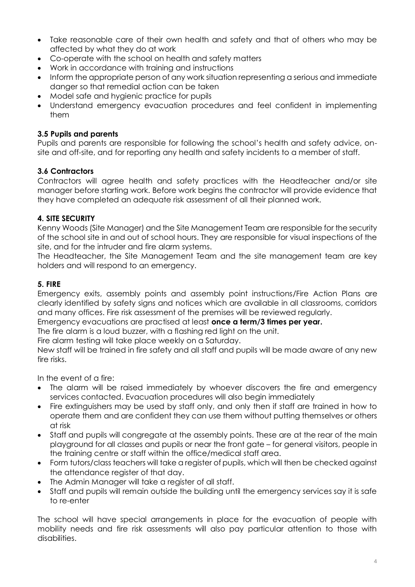- Take reasonable care of their own health and safety and that of others who may be affected by what they do at work
- Co-operate with the school on health and safety matters
- Work in accordance with training and instructions
- Inform the appropriate person of any work situation representing a serious and immediate danger so that remedial action can be taken
- Model safe and hygienic practice for pupils
- Understand emergency evacuation procedures and feel confident in implementing them

## **3.5 Pupils and parents**

Pupils and parents are responsible for following the school's health and safety advice, onsite and off-site, and for reporting any health and safety incidents to a member of staff.

## **3.6 Contractors**

Contractors will agree health and safety practices with the Headteacher and/or site manager before starting work. Before work begins the contractor will provide evidence that they have completed an adequate risk assessment of all their planned work.

## <span id="page-3-0"></span>**4. SITE SECURITY**

Kenny Woods (Site Manager) and the Site Management Team are responsible for the security of the school site in and out of school hours. They are responsible for visual inspections of the site, and for the intruder and fire alarm systems.

The Headteacher, the Site Management Team and the site management team are key holders and will respond to an emergency.

#### <span id="page-3-1"></span>**5. FIRE**

Emergency exits, assembly points and assembly point instructions/Fire Action Plans are clearly identified by safety signs and notices which are available in all classrooms, corridors and many offices. Fire risk assessment of the premises will be reviewed regularly.

Emergency evacuations are practised at least **once a term/3 times per year.**

The fire alarm is a loud buzzer, with a flashing red light on the unit.

Fire alarm testing will take place weekly on a Saturday.

New staff will be trained in fire safety and all staff and pupils will be made aware of any new fire risks.

In the event of a fire:

- The alarm will be raised immediately by whoever discovers the fire and emergency services contacted. Evacuation procedures will also begin immediately
- Fire extinguishers may be used by staff only, and only then if staff are trained in how to operate them and are confident they can use them without putting themselves or others at risk
- Staff and pupils will congregate at the assembly points. These are at the rear of the main playground for all classes and pupils or near the front gate – for general visitors, people in the training centre or staff within the office/medical staff area.
- Form tutors/class teachers will take a register of pupils, which will then be checked against the attendance register of that day.
- The Admin Manager will take a register of all staff.
- Staff and pupils will remain outside the building until the emergency services say it is safe to re-enter

The school will have special arrangements in place for the evacuation of people with mobility needs and fire risk assessments will also pay particular attention to those with disabilities.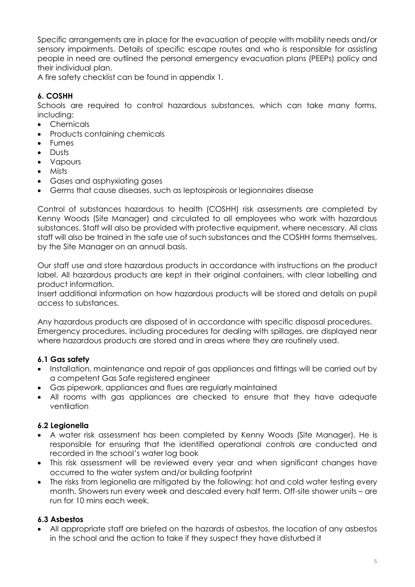Specific arrangements are in place for the evacuation of people with mobility needs and/or sensory impairments. Details of specific escape routes and who is responsible for assisting people in need are outlined the personal emergency evacuation plans (PEEPs) policy and their individual plan.

A fire safety checklist can be found in appendix 1.

# <span id="page-4-0"></span>**6. COSHH**

Schools are required to control hazardous substances, which can take many forms, including:

- Chemicals
- Products containing chemicals
- **•** Fumes
- Dusts
- Vapours
- Mists
- Gases and asphyxiating gases
- Germs that cause diseases, such as leptospirosis or legionnaires disease

Control of substances hazardous to health (COSHH) risk assessments are completed by Kenny Woods (Site Manager) and circulated to all employees who work with hazardous substances. Staff will also be provided with protective equipment, where necessary. All class staff will also be trained in the safe use of such substances and the COSHH forms themselves, by the Site Manager on an annual basis.

Our staff use and store hazardous products in accordance with instructions on the product label. All hazardous products are kept in their original containers, with clear labelling and product information.

Insert additional information on how hazardous products will be stored and details on pupil access to substances.

Any hazardous products are disposed of in accordance with specific disposal procedures. Emergency procedures, including procedures for dealing with spillages, are displayed near where hazardous products are stored and in areas where they are routinely used.

## **6.1 Gas safety**

- Installation, maintenance and repair of gas appliances and fittings will be carried out by a competent Gas Safe registered engineer
- Gas pipework, appliances and flues are regularly maintained
- All rooms with gas appliances are checked to ensure that they have adequate ventilation

#### **6.2 Legionella**

- A water risk assessment has been completed by Kenny Woods (Site Manager). He is responsible for ensuring that the identified operational controls are conducted and recorded in the school's water log book
- This risk assessment will be reviewed every year and when significant changes have occurred to the water system and/or building footprint
- The risks from legionella are mitigated by the following: hot and cold water testing every month. Showers run every week and descaled every half term. Off-site shower units – are run for 10 mins each week.

## **6.3 Asbestos**

 All appropriate staff are briefed on the hazards of asbestos, the location of any asbestos in the school and the action to take if they suspect they have disturbed it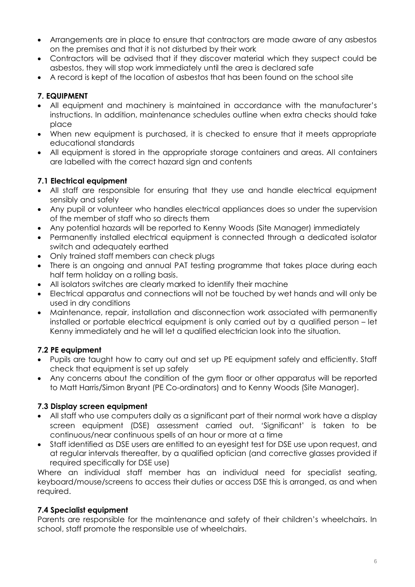- Arrangements are in place to ensure that contractors are made aware of any asbestos on the premises and that it is not disturbed by their work
- Contractors will be advised that if they discover material which they suspect could be asbestos, they will stop work immediately until the area is declared safe
- A record is kept of the location of asbestos that has been found on the school site

# <span id="page-5-0"></span>**7. EQUIPMENT**

- All equipment and machinery is maintained in accordance with the manufacturer's instructions. In addition, maintenance schedules outline when extra checks should take place
- When new equipment is purchased, it is checked to ensure that it meets appropriate educational standards
- All equipment is stored in the appropriate storage containers and areas. All containers are labelled with the correct hazard sign and contents

## **7.1 Electrical equipment**

- All staff are responsible for ensuring that they use and handle electrical equipment sensibly and safely
- Any pupil or volunteer who handles electrical appliances does so under the supervision of the member of staff who so directs them
- Any potential hazards will be reported to Kenny Woods (Site Manager) immediately
- Permanently installed electrical equipment is connected through a dedicated isolator switch and adequately earthed
- Only trained staff members can check plugs
- There is an ongoing and annual PAT testing programme that takes place during each half term holiday on a rolling basis.
- All isolators switches are clearly marked to identify their machine
- Electrical apparatus and connections will not be touched by wet hands and will only be used in dry conditions
- Maintenance, repair, installation and disconnection work associated with permanently installed or portable electrical equipment is only carried out by a qualified person – let Kenny immediately and he will let a qualified electrician look into the situation.

## **7.2 PE equipment**

- Pupils are taught how to carry out and set up PE equipment safely and efficiently. Staff check that equipment is set up safely
- Any concerns about the condition of the gym floor or other apparatus will be reported to Matt Harris/Simon Bryant (PE Co-ordinators) and to Kenny Woods (Site Manager).

## **7.3 Display screen equipment**

- All staff who use computers daily as a significant part of their normal work have a display screen equipment (DSE) assessment carried out. 'Significant' is taken to be continuous/near continuous spells of an hour or more at a time
- Staff identified as DSE users are entitled to an eyesight test for DSE use upon request, and at regular intervals thereafter, by a qualified optician (and corrective glasses provided if required specifically for DSE use)

Where an individual staff member has an individual need for specialist seating, keyboard/mouse/screens to access their duties or access DSE this is arranged, as and when required.

## **7.4 Specialist equipment**

Parents are responsible for the maintenance and safety of their children's wheelchairs. In school, staff promote the responsible use of wheelchairs.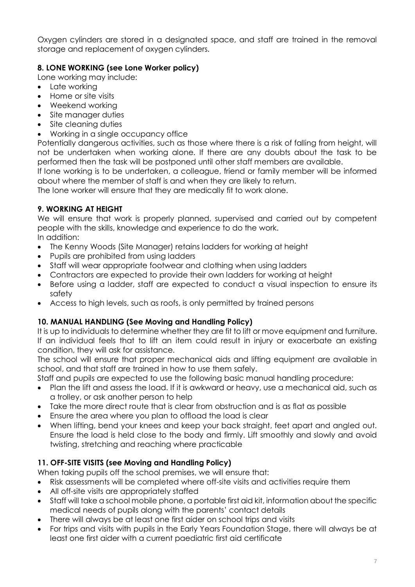Oxygen cylinders are stored in a designated space, and staff are trained in the removal storage and replacement of oxygen cylinders.

## <span id="page-6-0"></span>**8. LONE WORKING (see Lone Worker policy)**

Lone working may include:

- Late working
- Home or site visits
- Weekend working
- Site manager duties
- Site cleaning duties
- Working in a single occupancy office

Potentially dangerous activities, such as those where there is a risk of falling from height, will not be undertaken when working alone. If there are any doubts about the task to be performed then the task will be postponed until other staff members are available.

If lone working is to be undertaken, a colleague, friend or family member will be informed about where the member of staff is and when they are likely to return.

<span id="page-6-1"></span>The lone worker will ensure that they are medically fit to work alone.

## **9. WORKING AT HEIGHT**

We will ensure that work is properly planned, supervised and carried out by competent people with the skills, knowledge and experience to do the work. In addition:

- The Kenny Woods (Site Manager) retains ladders for working at height
- Pupils are prohibited from using ladders
- Staff will wear appropriate footwear and clothing when using ladders
- Contractors are expected to provide their own ladders for working at height
- Before using a ladder, staff are expected to conduct a visual inspection to ensure its safety
- <span id="page-6-2"></span>Access to high levels, such as roofs, is only permitted by trained persons

## **10. MANUAL HANDLING (See Moving and Handling Policy)**

It is up to individuals to determine whether they are fit to lift or move equipment and furniture. If an individual feels that to lift an item could result in injury or exacerbate an existing condition, they will ask for assistance.

The school will ensure that proper mechanical aids and lifting equipment are available in school, and that staff are trained in how to use them safely.

Staff and pupils are expected to use the following basic manual handling procedure:

- Plan the lift and assess the load. If it is awkward or heavy, use a mechanical aid, such as a trolley, or ask another person to help
- Take the more direct route that is clear from obstruction and is as flat as possible
- Ensure the area where you plan to offload the load is clear
- When lifting, bend your knees and keep your back straight, feet apart and angled out. Ensure the load is held close to the body and firmly. Lift smoothly and slowly and avoid twisting, stretching and reaching where practicable

## <span id="page-6-3"></span>**11. OFF-SITE VISITS (see Moving and Handling Policy)**

When taking pupils off the school premises, we will ensure that:

- Risk assessments will be completed where off-site visits and activities require them
- All off-site visits are appropriately staffed
- Staff will take a school mobile phone, a portable first aid kit, information about the specific medical needs of pupils along with the parents' contact details
- There will always be at least one first aider on school trips and visits
- For trips and visits with pupils in the Early Years Foundation Stage, there will always be at least one first aider with a current paediatric first aid certificate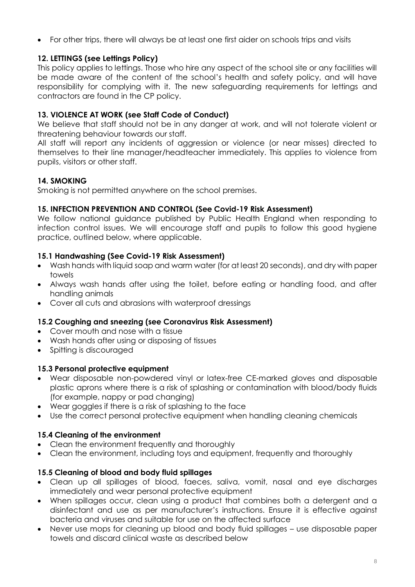For other trips, there will always be at least one first aider on schools trips and visits

## <span id="page-7-0"></span>**12. LETTINGS (see Lettings Policy)**

This policy applies to lettings. Those who hire any aspect of the school site or any facilities will be made aware of the content of the school's health and safety policy, and will have responsibility for complying with it. The new safeguarding requirements for lettings and contractors are found in the CP policy.

## <span id="page-7-1"></span>**13. VIOLENCE AT WORK (see Staff Code of Conduct)**

We believe that staff should not be in any danger at work, and will not tolerate violent or threatening behaviour towards our staff.

All staff will report any incidents of aggression or violence (or near misses) directed to themselves to their line manager/headteacher immediately. This applies to violence from pupils, visitors or other staff.

## <span id="page-7-2"></span>**14. SMOKING**

<span id="page-7-3"></span>Smoking is not permitted anywhere on the school premises.

#### **15. INFECTION PREVENTION AND CONTROL (See Covid-19 Risk Assessment)**

We follow national guidance published by Public Health England when responding to infection control issues. We will encourage staff and pupils to follow this good hygiene practice, outlined below, where applicable.

#### **15.1 Handwashing (See Covid-19 Risk Assessment)**

- Wash hands with liquid soap and warm water (for at least 20 seconds), and dry with paper towels
- Always wash hands after using the toilet, before eating or handling food, and after handling animals
- Cover all cuts and abrasions with waterproof dressings

#### **15.2 Coughing and sneezing (see Coronavirus Risk Assessment)**

- Cover mouth and nose with a tissue
- Wash hands after using or disposing of tissues
- Spitting is discouraged

#### **15.3 Personal protective equipment**

- Wear disposable non-powdered vinyl or latex-free CE-marked gloves and disposable plastic aprons where there is a risk of splashing or contamination with blood/body fluids (for example, nappy or pad changing)
- Wear goggles if there is a risk of splashing to the face
- Use the correct personal protective equipment when handling cleaning chemicals

#### **15.4 Cleaning of the environment**

- Clean the environment frequently and thoroughly
- Clean the environment, including toys and equipment, frequently and thoroughly

#### **15.5 Cleaning of blood and body fluid spillages**

- Clean up all spillages of blood, faeces, saliva, vomit, nasal and eye discharges immediately and wear personal protective equipment
- When spillages occur, clean using a product that combines both a detergent and a disinfectant and use as per manufacturer's instructions. Ensure it is effective against bacteria and viruses and suitable for use on the affected surface
- Never use mops for cleaning up blood and body fluid spillages use disposable paper towels and discard clinical waste as described below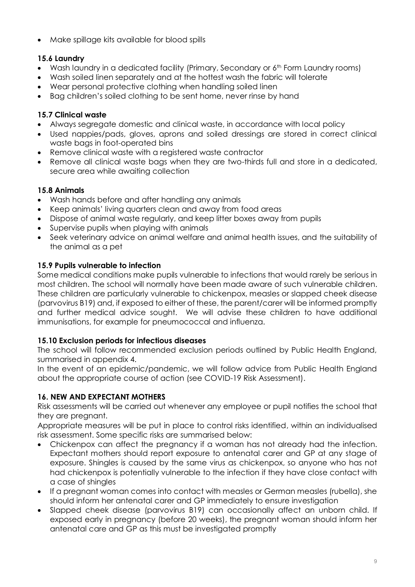Make spillage kits available for blood spills

# **15.6 Laundry**

- Wash laundry in a dedicated facility (Primary, Secondary or 6<sup>th</sup> Form Laundry rooms)
- Wash soiled linen separately and at the hottest wash the fabric will tolerate
- Wear personal protective clothing when handling soiled linen
- Bag children's soiled clothing to be sent home, never rinse by hand

# **15.7 Clinical waste**

- Always segregate domestic and clinical waste, in accordance with local policy
- Used nappies/pads, gloves, aprons and soiled dressings are stored in correct clinical waste bags in foot-operated bins
- Remove clinical waste with a registered waste contractor
- Remove all clinical waste bags when they are two-thirds full and store in a dedicated, secure area while awaiting collection

# **15.8 Animals**

- Wash hands before and after handling any animals
- Keep animals' living quarters clean and away from food areas
- Dispose of animal waste regularly, and keep litter boxes away from pupils
- Supervise pupils when playing with animals
- Seek veterinary advice on animal welfare and animal health issues, and the suitability of the animal as a pet

# **15.9 Pupils vulnerable to infection**

Some medical conditions make pupils vulnerable to infections that would rarely be serious in most children. The school will normally have been made aware of such vulnerable children. These children are particularly vulnerable to chickenpox, measles or slapped cheek disease (parvovirus B19) and, if exposed to either of these, the parent/carer will be informed promptly and further medical advice sought. We will advise these children to have additional immunisations, for example for pneumococcal and influenza.

## **15.10 Exclusion periods for infectious diseases**

The school will follow recommended exclusion periods outlined by Public Health England, summarised in appendix 4.

In the event of an epidemic/pandemic, we will follow advice from Public Health England about the appropriate course of action (see COVID-19 Risk Assessment).

# <span id="page-8-0"></span>**16. NEW AND EXPECTANT MOTHERS**

Risk assessments will be carried out whenever any employee or pupil notifies the school that they are pregnant.

Appropriate measures will be put in place to control risks identified, within an individualised risk assessment. Some specific risks are summarised below:

- Chickenpox can affect the pregnancy if a woman has not already had the infection. Expectant mothers should report exposure to antenatal carer and GP at any stage of exposure. Shingles is caused by the same virus as chickenpox, so anyone who has not had chickenpox is potentially vulnerable to the infection if they have close contact with a case of shingles
- If a pregnant woman comes into contact with measles or German measles (rubella), she should inform her antenatal carer and GP immediately to ensure investigation
- <span id="page-8-1"></span> Slapped cheek disease (parvovirus B19) can occasionally affect an unborn child. If exposed early in pregnancy (before 20 weeks), the pregnant woman should inform her antenatal care and GP as this must be investigated promptly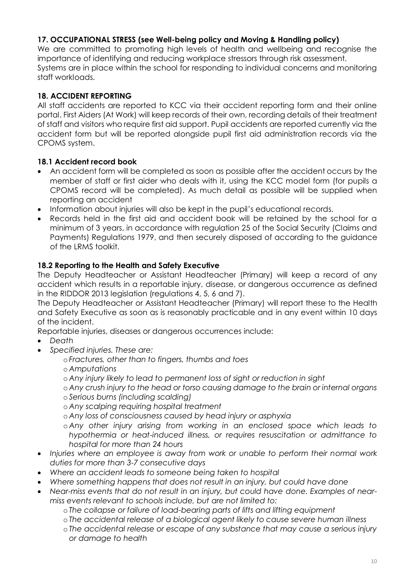## **17. OCCUPATIONAL STRESS (see Well-being policy and Moving & Handling policy)**

We are committed to promoting high levels of health and wellbeing and recognise the importance of identifying and reducing workplace stressors through risk assessment. Systems are in place within the school for responding to individual concerns and monitoring staff workloads.

## <span id="page-9-0"></span>**18. ACCIDENT REPORTING**

All staff accidents are reported to KCC via their accident reporting form and their online portal. First Aiders (At Work) will keep records of their own, recording details of their treatment of staff and visitors who require first aid support. Pupil accidents are reported currently via the accident form but will be reported alongside pupil first aid administration records via the CPOMS system.

## **18.1 Accident record book**

- An accident form will be completed as soon as possible after the accident occurs by the member of staff or first aider who deals with it, using the KCC model form (for pupils a CPOMS record will be completed). As much detail as possible will be supplied when reporting an accident
- Information about injuries will also be kept in the pupil's educational records.
- Records held in the first aid and accident book will be retained by the school for a minimum of 3 years, in accordance with regulation 25 of the Social Security (Claims and Payments) Regulations 1979, and then securely disposed of according to the guidance of the LRMS toolkit.

## **18.2 Reporting to the Health and Safety Executive**

The Deputy Headteacher or Assistant Headteacher (Primary) will keep a record of any accident which results in a reportable injury, disease, or dangerous occurrence as defined in the RIDDOR 2013 legislation (regulations 4, 5, 6 and 7).

The Deputy Headteacher or Assistant Headteacher (Primary) will report these to the Health and Safety Executive as soon as is reasonably practicable and in any event within 10 days of the incident.

Reportable injuries, diseases or dangerous occurrences include:

- *Death*
	- *Specified injuries. These are:*
		- o *Fractures, other than to fingers, thumbs and toes*
		- o *Amputations*
		- o *Any injury likely to lead to permanent loss of sight or reduction in sight*
		- o *Any crush injury to the head or torso causing damage to the brain or internal organs* o *Serious burns (including scalding)*
		- o *Any scalping requiring hospital treatment*
		- o *Any loss of consciousness caused by head injury or asphyxia*
		- o *Any other injury arising from working in an enclosed space which leads to hypothermia or heat-induced illness, or requires resuscitation or admittance to hospital for more than 24 hours*
- *Injuries where an employee is away from work or unable to perform their normal work duties for more than 3-7 consecutive days*
- *Where an accident leads to someone being taken to hospital*
- *Where something happens that does not result in an injury, but could have done*
- *Near-miss events that do not result in an injury, but could have done. Examples of nearmiss events relevant to schools include, but are not limited to:* 
	- o *The collapse or failure of load-bearing parts of lifts and lifting equipment*
	- o *The accidental release of a biological agent likely to cause severe human illness*
	- o *The accidental release or escape of any substance that may cause a serious injury or damage to health*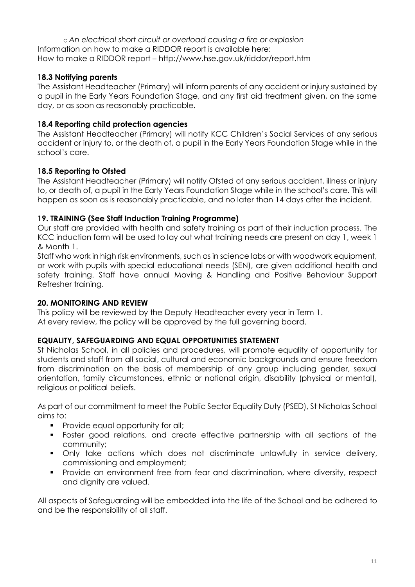o *An electrical short circuit or overload causing a fire or explosion* Information on how to make a RIDDOR report is available here: How to make a RIDDOR report – http://www.hse.gov.uk/riddor/report.htm

## **18.3 Notifying parents**

The Assistant Headteacher (Primary) will inform parents of any accident or injury sustained by a pupil in the Early Years Foundation Stage, and any first aid treatment given, on the same day, or as soon as reasonably practicable.

## **18.4 Reporting child protection agencies**

The Assistant Headteacher (Primary) will notify KCC Children's Social Services of any serious accident or injury to, or the death of, a pupil in the Early Years Foundation Stage while in the school's care.

## **18.5 Reporting to Ofsted**

The Assistant Headteacher (Primary) will notify Ofsted of any serious accident, illness or injury to, or death of, a pupil in the Early Years Foundation Stage while in the school's care. This will happen as soon as is reasonably practicable, and no later than 14 days after the incident.

#### <span id="page-10-0"></span>**19. TRAINING (See Staff Induction Training Programme)**

Our staff are provided with health and safety training as part of their induction process. The KCC induction form will be used to lay out what training needs are present on day 1, week 1 & Month 1.

<span id="page-10-1"></span>Staff who work in high risk environments, such as in science labs or with woodwork equipment, or work with pupils with special educational needs (SEN), are given additional health and safety training. Staff have annual Moving & Handling and Positive Behaviour Support Refresher training.

#### **20. MONITORING AND REVIEW**

This policy will be reviewed by the Deputy Headteacher every year in Term 1. At every review, the policy will be approved by the full governing board.

#### <span id="page-10-2"></span>**EQUALITY, SAFEGUARDING AND EQUAL OPPORTUNITIES STATEMENT**

St Nicholas School, in all policies and procedures, will promote equality of opportunity for students and staff from all social, cultural and economic backgrounds and ensure freedom from discrimination on the basis of membership of any group including gender, sexual orientation, family circumstances, ethnic or national origin, disability (physical or mental), religious or political beliefs.

As part of our commitment to meet the Public Sector Equality Duty (PSED), St Nicholas School aims to:

- **Provide equal opportunity for all;**
- Foster good relations, and create effective partnership with all sections of the community;
- Only take actions which does not discriminate unlawfully in service delivery, commissioning and employment;
- **Provide an environment free from fear and discrimination, where diversity, respect** and dignity are valued.

All aspects of Safeguarding will be embedded into the life of the School and be adhered to and be the responsibility of all staff.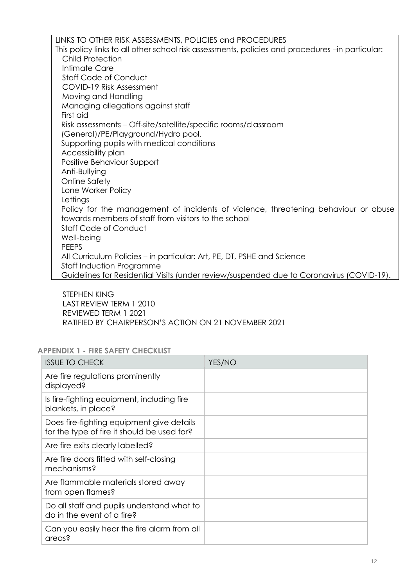LINKS TO OTHER RISK ASSESSMENTS, POLICIES and PROCEDURES This policy links to all other school risk assessments, policies and procedures –in particular: Child Protection Intimate Care Staff Code of Conduct COVID-19 Risk Assessment Moving and Handling Managing allegations against staff First aid Risk assessments – Off-site/satellite/specific rooms/classroom (General)/PE/Playground/Hydro pool. Supporting pupils with medical conditions Accessibility plan Positive Behaviour Support Anti-Bullying Online Safety Lone Worker Policy **Lettings** Policy for the management of incidents of violence, threatening behaviour or abuse towards members of staff from visitors to the school Staff Code of Conduct Well-being PEEPS All Curriculum Policies – in particular: Art, PE, DT, PSHE and Science Staff Induction Programme Guidelines for Residential Visits (under review/suspended due to Coronavirus (COVID-19).

STEPHEN KING LAST REVIEW TERM 1 2010 REVIEWED TERM 1 2021 RATIFIED BY CHAIRPERSON'S ACTION ON 21 NOVEMBER 2021

#### **APPENDIX 1 - FIRE SAFETY CHECKLIST**

| <b>ISSUE TO CHECK</b>                                                                    | YES/NO |
|------------------------------------------------------------------------------------------|--------|
| Are fire regulations prominently<br>displayed?                                           |        |
| Is fire-fighting equipment, including fire<br>blankets, in place?                        |        |
| Does fire-fighting equipment give details<br>for the type of fire it should be used for? |        |
| Are fire exits clearly labelled?                                                         |        |
| Are fire doors fitted with self-closing<br>mechanisms?                                   |        |
| Are flammable materials stored away<br>from open flames?                                 |        |
| Do all staff and pupils understand what to<br>do in the event of a fire?                 |        |
| Can you easily hear the fire alarm from all<br>areas?                                    |        |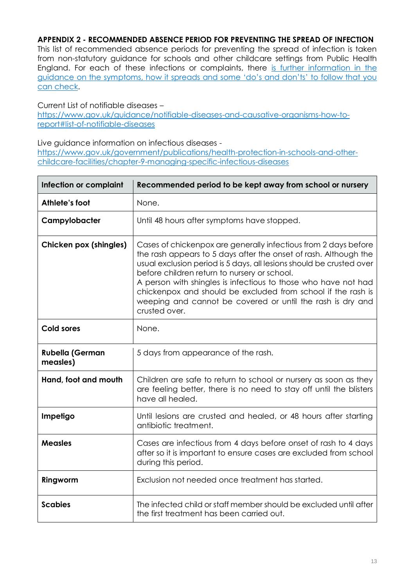#### <span id="page-12-0"></span>**APPENDIX 2 - RECOMMENDED ABSENCE PERIOD FOR PREVENTING THE SPREAD OF INFECTION**

This list of recommended absence periods for preventing the spread of infection is taken from non-statutory guidance for schools and other childcare settings from Public Health England. For each of these infections or complaints, there [is further information in the](https://www.gov.uk/government/publications/health-protection-in-schools-and-other-childcare-facilities/chapter-9-managing-specific-infectious-diseases)  [guidance on the symptoms, how it spreads and some 'do's and don'ts' to follow that you](https://www.gov.uk/government/publications/health-protection-in-schools-and-other-childcare-facilities/chapter-9-managing-specific-infectious-diseases)  [can check.](https://www.gov.uk/government/publications/health-protection-in-schools-and-other-childcare-facilities/chapter-9-managing-specific-infectious-diseases)

#### Current List of notifiable diseases –

[https://www.gov.uk/guidance/notifiable-diseases-and-causative-organisms-how-to](https://www.gov.uk/guidance/notifiable-diseases-and-causative-organisms-how-to-report#list-of-notifiable-diseases)[report#list-of-notifiable-diseases](https://www.gov.uk/guidance/notifiable-diseases-and-causative-organisms-how-to-report#list-of-notifiable-diseases)

#### Live guidance information on infectious diseases -

[https://www.gov.uk/government/publications/health-protection-in-schools-and-other](https://www.gov.uk/government/publications/health-protection-in-schools-and-other-childcare-facilities/chapter-9-managing-specific-infectious-diseases)[childcare-facilities/chapter-9-managing-specific-infectious-diseases](https://www.gov.uk/government/publications/health-protection-in-schools-and-other-childcare-facilities/chapter-9-managing-specific-infectious-diseases)

| Infection or complaint             | Recommended period to be kept away from school or nursery                                                                                                                                                                                                                                                                                                                                                                                                                    |
|------------------------------------|------------------------------------------------------------------------------------------------------------------------------------------------------------------------------------------------------------------------------------------------------------------------------------------------------------------------------------------------------------------------------------------------------------------------------------------------------------------------------|
| Athlete's foot                     | None.                                                                                                                                                                                                                                                                                                                                                                                                                                                                        |
| Campylobacter                      | Until 48 hours after symptoms have stopped.                                                                                                                                                                                                                                                                                                                                                                                                                                  |
| <b>Chicken pox (shingles)</b>      | Cases of chickenpox are generally infectious from 2 days before<br>the rash appears to 5 days after the onset of rash. Although the<br>usual exclusion period is 5 days, all lesions should be crusted over<br>before children return to nursery or school.<br>A person with shingles is infectious to those who have not had<br>chickenpox and should be excluded from school if the rash is<br>weeping and cannot be covered or until the rash is dry and<br>crusted over. |
| <b>Cold sores</b>                  | None.                                                                                                                                                                                                                                                                                                                                                                                                                                                                        |
| <b>Rubella (German</b><br>measles) | 5 days from appearance of the rash.                                                                                                                                                                                                                                                                                                                                                                                                                                          |
| Hand, foot and mouth               | Children are safe to return to school or nursery as soon as they<br>are feeling better, there is no need to stay off until the blisters<br>have all healed.                                                                                                                                                                                                                                                                                                                  |
| Impetigo                           | Until lesions are crusted and healed, or 48 hours after starting<br>antibiotic treatment.                                                                                                                                                                                                                                                                                                                                                                                    |
| <b>Measles</b>                     | Cases are infectious from 4 days before onset of rash to 4 days<br>after so it is important to ensure cases are excluded from school<br>during this period.                                                                                                                                                                                                                                                                                                                  |
| Ringworm                           | Exclusion not needed once treatment has started.                                                                                                                                                                                                                                                                                                                                                                                                                             |
| <b>Scabies</b>                     | The infected child or staff member should be excluded until after<br>the first treatment has been carried out.                                                                                                                                                                                                                                                                                                                                                               |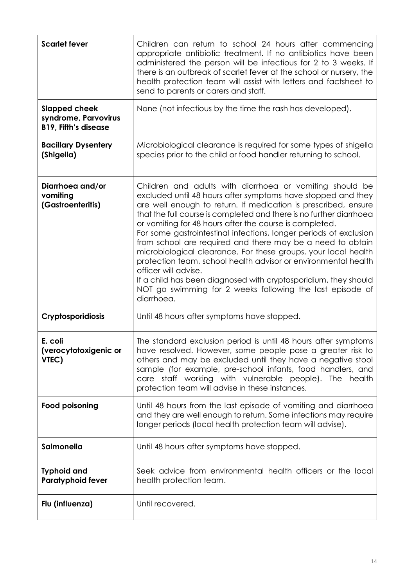| <b>Scarlet fever</b>                                                        | Children can return to school 24 hours after commencing<br>appropriate antibiotic treatment. If no antibiotics have been<br>administered the person will be infectious for 2 to 3 weeks. If<br>there is an outbreak of scarlet fever at the school or nursery, the<br>health protection team will assist with letters and factsheet to<br>send to parents or carers and staff.                                                                                                                                                                                                                                                                                                                                                                                            |
|-----------------------------------------------------------------------------|---------------------------------------------------------------------------------------------------------------------------------------------------------------------------------------------------------------------------------------------------------------------------------------------------------------------------------------------------------------------------------------------------------------------------------------------------------------------------------------------------------------------------------------------------------------------------------------------------------------------------------------------------------------------------------------------------------------------------------------------------------------------------|
| <b>Slapped cheek</b><br>syndrome, Parvovirus<br><b>B19, Fifth's disease</b> | None (not infectious by the time the rash has developed).                                                                                                                                                                                                                                                                                                                                                                                                                                                                                                                                                                                                                                                                                                                 |
| <b>Bacillary Dysentery</b><br>(Shigella)                                    | Microbiological clearance is required for some types of shigella<br>species prior to the child or food handler returning to school.                                                                                                                                                                                                                                                                                                                                                                                                                                                                                                                                                                                                                                       |
| Diarrhoea and/or<br>vomiting<br>(Gastroenteritis)                           | Children and adults with diarrhoea or vomiting should be<br>excluded until 48 hours after symptoms have stopped and they<br>are well enough to return. If medication is prescribed, ensure<br>that the full course is completed and there is no further diarrhoea<br>or vomiting for 48 hours after the course is completed.<br>For some gastrointestinal infections, longer periods of exclusion<br>from school are required and there may be a need to obtain<br>microbiological clearance. For these groups, your local health<br>protection team, school health advisor or environmental health<br>officer will advise.<br>If a child has been diagnosed with cryptosporidium, they should<br>NOT go swimming for 2 weeks following the last episode of<br>diarrhoea. |
| Cryptosporidiosis                                                           | Until 48 hours after symptoms have stopped.                                                                                                                                                                                                                                                                                                                                                                                                                                                                                                                                                                                                                                                                                                                               |
| E. coli<br>(verocytotoxigenic or<br>VTEC)                                   | The standard exclusion period is until 48 hours after symptoms<br>have resolved. However, some people pose a greater risk to<br>others and may be excluded until they have a negative stool<br>sample (for example, pre-school infants, food handlers, and<br>care staff working with vulnerable people). The health<br>protection team will advise in these instances.                                                                                                                                                                                                                                                                                                                                                                                                   |
| <b>Food poisoning</b>                                                       | Until 48 hours from the last episode of vomiting and diarrhoed<br>and they are well enough to return. Some infections may require<br>longer periods (local health protection team will advise).                                                                                                                                                                                                                                                                                                                                                                                                                                                                                                                                                                           |
| Salmonella                                                                  | Until 48 hours after symptoms have stopped.                                                                                                                                                                                                                                                                                                                                                                                                                                                                                                                                                                                                                                                                                                                               |
| <b>Typhoid and</b><br><b>Paratyphoid fever</b>                              | Seek advice from environmental health officers or the local<br>health protection team.                                                                                                                                                                                                                                                                                                                                                                                                                                                                                                                                                                                                                                                                                    |
| Flu (influenza)                                                             | Until recovered.                                                                                                                                                                                                                                                                                                                                                                                                                                                                                                                                                                                                                                                                                                                                                          |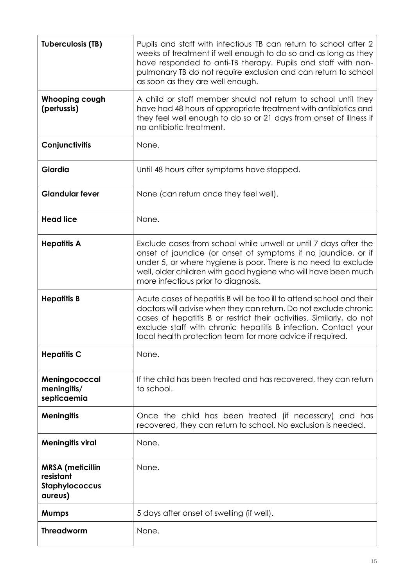| <b>Tuberculosis (TB)</b>                                          | Pupils and staff with infectious TB can return to school after 2<br>weeks of treatment if well enough to do so and as long as they<br>have responded to anti-TB therapy. Pupils and staff with non-<br>pulmonary TB do not require exclusion and can return to school<br>as soon as they are well enough.                                        |
|-------------------------------------------------------------------|--------------------------------------------------------------------------------------------------------------------------------------------------------------------------------------------------------------------------------------------------------------------------------------------------------------------------------------------------|
| Whooping cough<br>(pertussis)                                     | A child or staff member should not return to school until they<br>have had 48 hours of appropriate treatment with antibiotics and<br>they feel well enough to do so or 21 days from onset of illness if<br>no antibiotic treatment.                                                                                                              |
| Conjunctivitis                                                    | None.                                                                                                                                                                                                                                                                                                                                            |
| Giardia                                                           | Until 48 hours after symptoms have stopped.                                                                                                                                                                                                                                                                                                      |
| <b>Glandular fever</b>                                            | None (can return once they feel well).                                                                                                                                                                                                                                                                                                           |
| <b>Head lice</b>                                                  | None.                                                                                                                                                                                                                                                                                                                                            |
| <b>Hepatitis A</b>                                                | Exclude cases from school while unwell or until 7 days after the<br>onset of jaundice (or onset of symptoms if no jaundice, or if<br>under 5, or where hygiene is poor. There is no need to exclude<br>well, older children with good hygiene who will have been much<br>more infectious prior to diagnosis.                                     |
| <b>Hepatitis B</b>                                                | Acute cases of hepatitis B will be too ill to attend school and their<br>doctors will advise when they can return. Do not exclude chronic<br>cases of hepatitis B or restrict their activities. Similarly, do not<br>exclude staff with chronic hepatitis B infection. Contact your<br>local health protection team for more advice if required. |
| <b>Hepatitis C</b>                                                | None.                                                                                                                                                                                                                                                                                                                                            |
| Meningococcal<br>meningitis/<br>septicaemia                       | If the child has been treated and has recovered, they can return<br>to school.                                                                                                                                                                                                                                                                   |
| <b>Meningitis</b>                                                 | Once the child has been treated (if necessary) and has<br>recovered, they can return to school. No exclusion is needed.                                                                                                                                                                                                                          |
| <b>Meningitis viral</b>                                           | None.                                                                                                                                                                                                                                                                                                                                            |
| <b>MRSA</b> (meticillin<br>resistant<br>Staphylococcus<br>aureus) | None.                                                                                                                                                                                                                                                                                                                                            |
| <b>Mumps</b>                                                      | 5 days after onset of swelling (if well).                                                                                                                                                                                                                                                                                                        |
| <b>Threadworm</b>                                                 | None.                                                                                                                                                                                                                                                                                                                                            |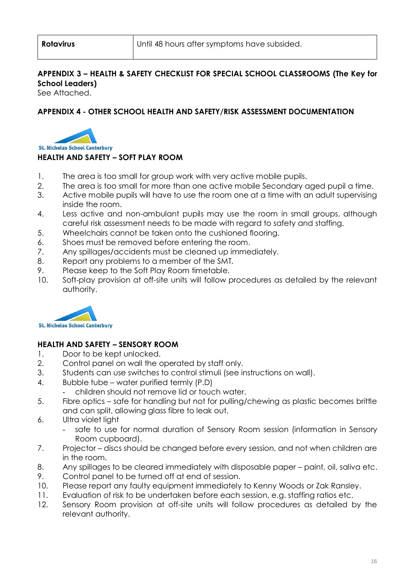## **APPENDIX 3 – HEALTH & SAFETY CHECKLIST FOR SPECIAL SCHOOL CLASSROOMS (The Key for School Leaders)**

See Attached.

## **APPENDIX 4 - OTHER SCHOOL HEALTH AND SAFETY/RISK ASSESSMENT DOCUMENTATION**



#### **HEALTH AND SAFETY – SOFT PLAY ROOM**

- 1. The area is too small for group work with very active mobile pupils.
- 2. The area is too small for more than one active mobile Secondary aged pupil a time.
- 3. Active mobile pupils will have to use the room one at a time with an adult supervising inside the room.
- 4. Less active and non-ambulant pupils may use the room in small groups, although careful risk assessment needs to be made with regard to safety and staffing.
- 5. Wheelchairs cannot be taken onto the cushioned flooring.
- 6. Shoes must be removed before entering the room.
- 7. Any spillages/accidents must be cleaned up immediately.
- 8. Report any problems to a member of the SMT.
- 9. Please keep to the Soft Play Room timetable.
- 10. Soft-play provision at off-site units will follow procedures as detailed by the relevant authority.



## **HEALTH AND SAFETY – SENSORY ROOM**

- 1. Door to be kept unlocked.
- 2. Control panel on wall the operated by staff only.
- 3. Students can use switches to control stimuli (see instructions on wall).
- 4. Bubble tube water purified termly (P.D)
	- children should not remove lid or touch water.
- 5. Fibre optics safe for handling but not for pulling/chewing as plastic becomes brittle and can split, allowing glass fibre to leak out.
- 6. Ultra violet light
	- safe to use for normal duration of Sensory Room session (information in Sensory Room cupboard).
- 7. Projector discs should be changed before every session, and not when children are in the room.
- 8. Any spillages to be cleared immediately with disposable paper paint, oil, saliva etc.
- 9. Control panel to be turned off at end of session.
- 10. Please report any faulty equipment immediately to Kenny Woods or Zak Ransley.
- 11. Evaluation of risk to be undertaken before each session, e.g. staffing ratios etc.
- 12. Sensory Room provision at off-site units will follow procedures as detailed by the relevant authority.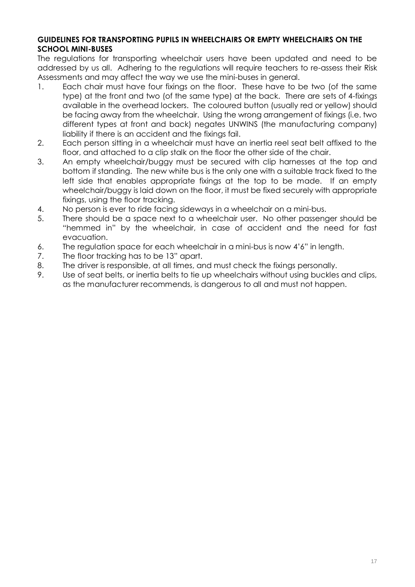#### **GUIDELINES FOR TRANSPORTING PUPILS IN WHEELCHAIRS OR EMPTY WHEELCHAIRS ON THE SCHOOL MINI-BUSES**

The regulations for transporting wheelchair users have been updated and need to be addressed by us all. Adhering to the regulations will require teachers to re-assess their Risk Assessments and may affect the way we use the mini-buses in general.

- 1. Each chair must have four fixings on the floor. These have to be two (of the same type) at the front and two (of the same type) at the back. There are sets of 4-fixings available in the overhead lockers. The coloured button (usually red or yellow) should be facing away from the wheelchair. Using the wrong arrangement of fixings (i.e. two different types at front and back) negates UNWINS (the manufacturing company) liability if there is an accident and the fixings fail.
- 2. Each person sitting in a wheelchair must have an inertia reel seat belt affixed to the floor, and attached to a clip stalk on the floor the other side of the chair.
- 3. An empty wheelchair/buggy must be secured with clip harnesses at the top and bottom if standing. The new white bus is the only one with a suitable track fixed to the left side that enables appropriate fixings at the top to be made. If an empty wheelchair/buggy is laid down on the floor, it must be fixed securely with appropriate fixings, using the floor tracking.
- 4. No person is ever to ride facing sideways in a wheelchair on a mini-bus.
- 5. There should be a space next to a wheelchair user. No other passenger should be "hemmed in" by the wheelchair, in case of accident and the need for fast evacuation.
- 6. The regulation space for each wheelchair in a mini-bus is now 4'6" in length.
- 7. The floor tracking has to be 13" apart.
- 8. The driver is responsible, at all times, and must check the fixings personally.
- 9. Use of seat belts, or inertia belts to tie up wheelchairs without using buckles and clips, as the manufacturer recommends, is dangerous to all and must not happen.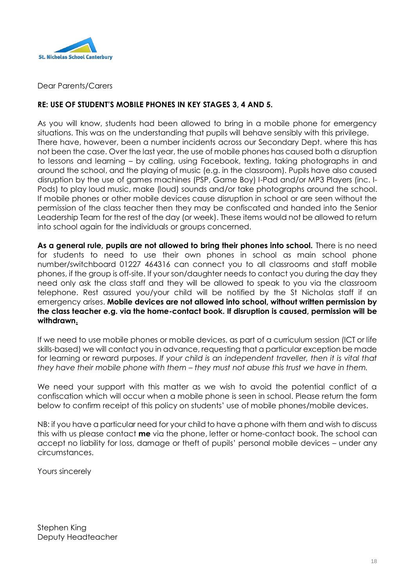

Dear Parents/Carers

#### **RE: USE OF STUDENT'S MOBILE PHONES IN KEY STAGES 3, 4 AND 5.**

As you will know, students had been allowed to bring in a mobile phone for emergency situations. This was on the understanding that pupils will behave sensibly with this privilege. There have, however, been a number incidents across our Secondary Dept. where this has not been the case. Over the last year, the use of mobile phones has caused both a disruption to lessons and learning – by calling, using Facebook, texting, taking photographs in and around the school, and the playing of music (e.g. in the classroom). Pupils have also caused disruption by the use of games machines (PSP, Game Boy) I-Pad and/or MP3 Players (inc. I-Pods) to play loud music, make (loud) sounds and/or take photographs around the school. If mobile phones or other mobile devices cause disruption in school or are seen without the permission of the class teacher then they may be confiscated and handed into the Senior Leadership Team for the rest of the day (or week). These items would not be allowed to return into school again for the individuals or groups concerned.

**As a general rule, pupils are not allowed to bring their phones into school.** There is no need for students to need to use their own phones in school as main school phone number/switchboard 01227 464316 can connect you to all classrooms and staff mobile phones, if the group is off-site. If your son/daughter needs to contact you during the day they need only ask the class staff and they will be allowed to speak to you via the classroom telephone. Rest assured you/your child will be notified by the St Nicholas staff if an emergency arises. **Mobile devices are not allowed into school, without written permission by the class teacher e.g. via the home-contact book. If disruption is caused, permission will be withdrawn.**

If we need to use mobile phones or mobile devices, as part of a curriculum session (ICT or life skills-based) we will contact you in advance, requesting that a particular exception be made for learning or reward purposes. *If your child is an independent traveller, then it is vital that they have their mobile phone with them – they must not abuse this trust we have in them.* 

We need your support with this matter as we wish to avoid the potential conflict of a confiscation which will occur when a mobile phone is seen in school. Please return the form below to confirm receipt of this policy on students' use of mobile phones/mobile devices.

NB: if you have a particular need for your child to have a phone with them and wish to discuss this with us please contact **me** via the phone, letter or home-contact book. The school can accept no liability for loss, damage or theft of pupils' personal mobile devices – under any circumstances.

Yours sincerely

Stephen King Deputy Headteacher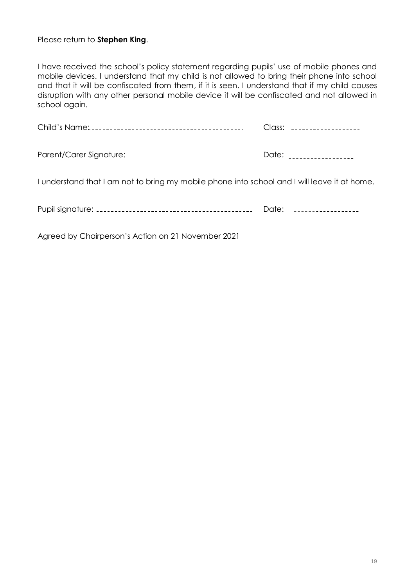#### Please return to **Stephen King**.

I have received the school's policy statement regarding pupils' use of mobile phones and mobile devices. I understand that my child is not allowed to bring their phone into school and that it will be confiscated from them, if it is seen. I understand that if my child causes disruption with any other personal mobile device it will be confiscated and not allowed in school again.

|                                                                                              | Class: ____________________ |
|----------------------------------------------------------------------------------------------|-----------------------------|
| Parent/Carer Signature: [11] Parent Parent Parent Parent Parent Parent Paradise              | Date: ___________________   |
| I understand that I am not to bring my mobile phone into school and I will leave it at home. |                             |
|                                                                                              | Date: ___________________   |
|                                                                                              |                             |

Agreed by Chairperson's Action on 21 November 2021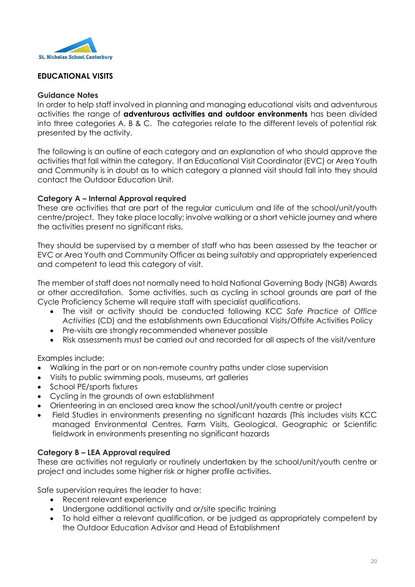

## **EDUCATIONAL VISITS**

#### **Guidance Notes**

In order to help staff involved in planning and managing educational visits and adventurous activities the range of **adventurous activities and outdoor environments** has been divided into three categories A, B & C. The categories relate to the different levels of potential risk presented by the activity.

The following is an outline of each category and an explanation of who should approve the activities that fall within the category. If an Educational Visit Coordinator (EVC) or Area Youth and Community is in doubt as to which category a planned visit should fall into they should contact the Outdoor Education Unit.

#### **Category A – Internal Approval required**

These are activities that are part of the regular curriculum and life of the school/unit/youth centre/project. They take place locally; involve walking or a short vehicle journey and where the activities present no significant risks.

They should be supervised by a member of staff who has been assessed by the teacher or EVC or Area Youth and Community Officer as being suitably and appropriately experienced and competent to lead this category of visit.

The member of staff does not normally need to hold National Governing Body (NGB) Awards or other accreditation. Some activities, such as cycling in school grounds are part of the Cycle Proficiency Scheme will require staff with specialist qualifications.

- The visit or activity should be conducted following KCC *Safe Practice of Office Activities* (CD) and the establishments own Educational Visits/Offsite Activities Policy
- Pre-visits are strongly recommended whenever possible
- Risk assessments must be carried out and recorded for all aspects of the visit/venture

Examples include:

- Walking in the part or on non-remote country paths under close supervision
- Visits to public swimming pools, museums, art galleries
- School PE/sports fixtures
- Cycling in the grounds of own establishment
- Orienteering in an enclosed area know the school/unit/youth centre or project
- Field Studies in environments presenting no significant hazards (This includes visits KCC managed Environmental Centres, Farm Visits, Geological, Geographic or Scientific fieldwork in environments presenting no significant hazards

#### **Category B – LEA Approval required**

These are activities not regularly or routinely undertaken by the school/unit/youth centre or project and includes some higher risk or higher profile activities.

Safe supervision requires the leader to have:

- Recent relevant experience
- Undergone additional activity and or/site specific training
- To hold either a relevant qualification, or be judged as appropriately competent by the Outdoor Education Advisor and Head of Establishment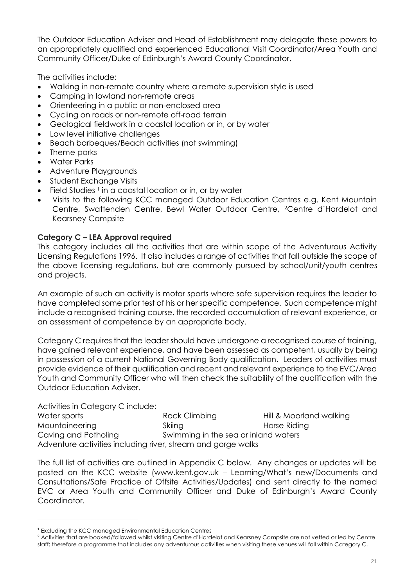The Outdoor Education Adviser and Head of Establishment may delegate these powers to an appropriately qualified and experienced Educational Visit Coordinator/Area Youth and Community Officer/Duke of Edinburgh's Award County Coordinator.

The activities include:

- Walking in non-remote country where a remote supervision style is used
- Camping in lowland non-remote areas
- Orienteering in a public or non-enclosed area
- Cycling on roads or non-remote off-road terrain
- Geological fieldwork in a coastal location or in, or by water
- Low level initiative challenges
- Beach barbeques/Beach activities (not swimming)
- Theme parks
- Water Parks
- Adventure Playgrounds
- Student Exchange Visits
- $\bullet$  Field Studies <sup>1</sup> in a coastal location or in, or by water
- Visits to the following KCC managed Outdoor Education Centres e.g. Kent Mountain Centre, Swattenden Centre, Bewl Water Outdoor Centre, 2Centre d'Hardelot and Kearsney Campsite

#### **Category C – LEA Approval required**

This category includes all the activities that are within scope of the Adventurous Activity Licensing Regulations 1996. It also includes a range of activities that fall outside the scope of the above licensing regulations, but are commonly pursued by school/unit/youth centres and projects.

An example of such an activity is motor sports where safe supervision requires the leader to have completed some prior test of his or her specific competence. Such competence might include a recognised training course, the recorded accumulation of relevant experience, or an assessment of competence by an appropriate body.

Category C requires that the leader should have undergone a recognised course of training, have gained relevant experience, and have been assessed as competent, usually by being in possession of a current National Governing Body qualification. Leaders of activities must provide evidence of their qualification and recent and relevant experience to the EVC/Area Youth and Community Officer who will then check the suitability of the qualification with the Outdoor Education Adviser.

Activities in Category C include:

l

Water sports **Rock Climbing** Hill & Moorland walking Mountaineering Skiing Skiing Horse Riding Caving and Potholing Swimming in the sea or inland waters Adventure activities including river, stream and gorge walks

The full list of activities are outlined in Appendix C below. Any changes or updates will be posted on the KCC website [\(www.kent.gov.uk](http://www.kent.gov.uk/) – Learning/What's new/Documents and Consultations/Safe Practice of Offsite Activities/Updates) and sent directly to the named EVC or Area Youth and Community Officer and Duke of Edinburgh's Award County Coordinator.

<sup>1</sup> Excluding the KCC managed Environmental Education Centres

<sup>&</sup>lt;sup>2</sup> Activities that are booked/followed whilst visiting Centre d'Hardelot and Kearsney Campsite are not vetted or led by Centre staff; therefore a programme that includes any adventurous activities when visiting these venues will fall within Category C.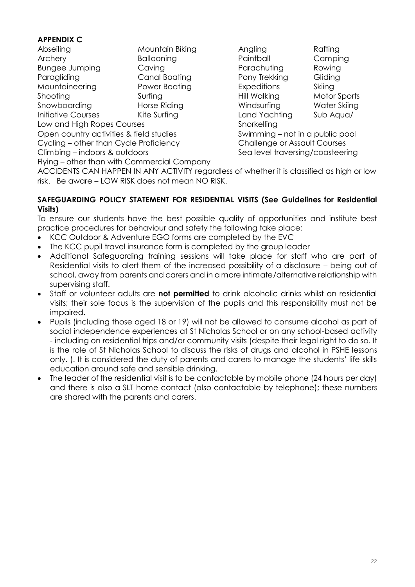## **APPENDIX C**

| Abseiling                               | Mountain Biking   | Angling                     | Rafting |
|-----------------------------------------|-------------------|-----------------------------|---------|
| Archery                                 | <b>Ballooning</b> | Paintball                   | Campi   |
| <b>Bungee Jumping</b>                   | Caving            | Parachuting                 | Rowing  |
| Paragliding                             | Canal Boating     | Pony Trekking               | Gliding |
| Mountaineering                          | Power Boating     | <b>Expeditions</b>          | Skiing  |
| Shooting                                | Surfing           | Hill Walking                | Motor 9 |
| Snowboarding                            | Horse Riding      | Windsurfing                 | Water . |
| <b>Initiative Courses</b>               | Kite Surfing      | Land Yachting               | Sub Aq  |
| Low and High Ropes Courses              |                   | Snorkelling                 |         |
| Open country activities & field studies |                   | Swimming – not in a public  |         |
| Cycling - other than Cycle Proficiency  |                   | Challenge or Assault Course |         |
| Climbing – indoors & outdoors           |                   | Sea level traversing/coaste |         |

Paintball Camping Parachuting Rowing Pony Trekking Gliding Expeditions Skiing Hill Walking Motor Sports Windsurfing Water Skiing Land Yachting Sub Aqua/ Snorkelling Swimming – not in a public pool Challenge or Assault Courses Sea level traversing/coasteering

Flying – other than with Commercial Company

ACCIDENTS CAN HAPPEN IN ANY ACTIVITY regardless of whether it is classified as high or low risk. Be aware – LOW RISK does not mean NO RISK.

#### **SAFEGUARDING POLICY STATEMENT FOR RESIDENTIAL VISITS (See Guidelines for Residential Visits)**

To ensure our students have the best possible quality of opportunities and institute best practice procedures for behaviour and safety the following take place:

- KCC Outdoor & Adventure EGO forms are completed by the EVC
- The KCC pupil travel insurance form is completed by the group leader
- Additional Safeguarding training sessions will take place for staff who are part of Residential visits to alert them of the increased possibility of a disclosure – being out of school, away from parents and carers and in a more intimate/alternative relationship with supervising staff.
- Staff or volunteer adults are **not permitted** to drink alcoholic drinks whilst on residential visits; their sole focus is the supervision of the pupils and this responsibility must not be impaired.
- Pupils (including those aged 18 or 19) will not be allowed to consume alcohol as part of social independence experiences at St Nicholas School or on any school-based activity - including on residential trips and/or community visits (despite their legal right to do so. It is the role of St Nicholas School to discuss the risks of drugs and alcohol in PSHE lessons only. ). It is considered the duty of parents and carers to manage the students' life skills education around safe and sensible drinking.
- The leader of the residential visit is to be contactable by mobile phone (24 hours per day) and there is also a SLT home contact (also contactable by telephone); these numbers are shared with the parents and carers.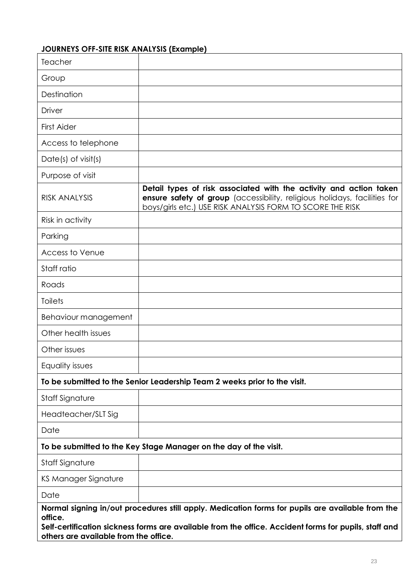# **JOURNEYS OFF-SITE RISK ANALYSIS (Example)**

| Teacher                                          |                                                                                                                                                                                                              |
|--------------------------------------------------|--------------------------------------------------------------------------------------------------------------------------------------------------------------------------------------------------------------|
| Group                                            |                                                                                                                                                                                                              |
| Destination                                      |                                                                                                                                                                                                              |
| Driver                                           |                                                                                                                                                                                                              |
| <b>First Aider</b>                               |                                                                                                                                                                                                              |
| Access to telephone                              |                                                                                                                                                                                                              |
| Date(s) of visit(s)                              |                                                                                                                                                                                                              |
| Purpose of visit                                 |                                                                                                                                                                                                              |
| <b>RISK ANALYSIS</b>                             | Detail types of risk associated with the activity and action taken<br>ensure safety of group (accessibility, religious holidays, facilities for<br>boys/girls etc.) USE RISK ANALYSIS FORM TO SCORE THE RISK |
| Risk in activity                                 |                                                                                                                                                                                                              |
| Parking                                          |                                                                                                                                                                                                              |
| Access to Venue                                  |                                                                                                                                                                                                              |
| Staff ratio                                      |                                                                                                                                                                                                              |
| Roads                                            |                                                                                                                                                                                                              |
| <b>Toilets</b>                                   |                                                                                                                                                                                                              |
| Behaviour management                             |                                                                                                                                                                                                              |
| Other health issues                              |                                                                                                                                                                                                              |
| Other issues                                     |                                                                                                                                                                                                              |
| Equality issues                                  |                                                                                                                                                                                                              |
|                                                  | To be submitted to the Senior Leadership Team 2 weeks prior to the visit.                                                                                                                                    |
| Staff Signature                                  |                                                                                                                                                                                                              |
| Headteacher/SLT Sig                              |                                                                                                                                                                                                              |
| Date                                             |                                                                                                                                                                                                              |
|                                                  | To be submitted to the Key Stage Manager on the day of the visit.                                                                                                                                            |
| Staff Signature                                  |                                                                                                                                                                                                              |
| KS Manager Signature                             |                                                                                                                                                                                                              |
| Date                                             |                                                                                                                                                                                                              |
| office.<br>others are available from the office. | Normal signing in/out procedures still apply. Medication forms for pupils are available from the<br>Self-certification sickness forms are available from the office. Accident forms for pupils, staff and    |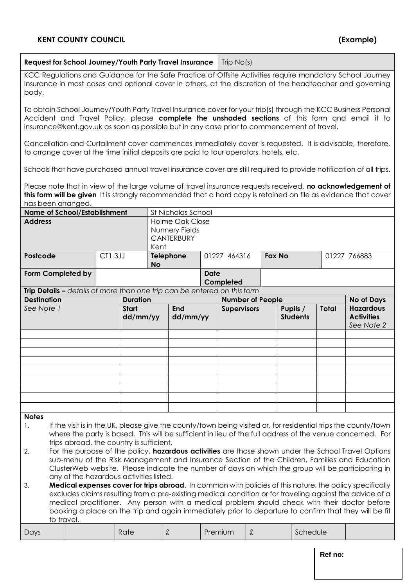| Request for School Journey/Youth Party Travel Insurance                                                                                                                                                                                                                                                                                                                                                                                                                                                                                                                                                                                                                                                                                                                                                                                                                                                                                                                                            |         |                                             |           | Trip $No(s)$                                                  |             |                                               |   |                             |          |              |                                                                          |
|----------------------------------------------------------------------------------------------------------------------------------------------------------------------------------------------------------------------------------------------------------------------------------------------------------------------------------------------------------------------------------------------------------------------------------------------------------------------------------------------------------------------------------------------------------------------------------------------------------------------------------------------------------------------------------------------------------------------------------------------------------------------------------------------------------------------------------------------------------------------------------------------------------------------------------------------------------------------------------------------------|---------|---------------------------------------------|-----------|---------------------------------------------------------------|-------------|-----------------------------------------------|---|-----------------------------|----------|--------------|--------------------------------------------------------------------------|
| KCC Regulations and Guidance for the Safe Practice of Offsite Activities require mandatory School Journey<br>Insurance in most cases and optional cover in others, at the discretion of the headteacher and governing<br>body.                                                                                                                                                                                                                                                                                                                                                                                                                                                                                                                                                                                                                                                                                                                                                                     |         |                                             |           |                                                               |             |                                               |   |                             |          |              |                                                                          |
| To obtain School Journey/Youth Party Travel Insurance cover for your trip(s) through the KCC Business Personal<br>Accident and Travel Policy, please <b>complete the unshaded sections</b> of this form and email it to<br>insurance@kent.gov.uk as soon as possible but in any case prior to commencement of travel.                                                                                                                                                                                                                                                                                                                                                                                                                                                                                                                                                                                                                                                                              |         |                                             |           |                                                               |             |                                               |   |                             |          |              |                                                                          |
| Cancellation and Curtailment cover commences immediately cover is requested. It is advisable, therefore,<br>to arrange cover at the time initial deposits are paid to tour operators, hotels, etc.                                                                                                                                                                                                                                                                                                                                                                                                                                                                                                                                                                                                                                                                                                                                                                                                 |         |                                             |           |                                                               |             |                                               |   |                             |          |              |                                                                          |
| Schools that have purchased annual travel insurance cover are still required to provide notification of all trips.                                                                                                                                                                                                                                                                                                                                                                                                                                                                                                                                                                                                                                                                                                                                                                                                                                                                                 |         |                                             |           |                                                               |             |                                               |   |                             |          |              |                                                                          |
| Please note that in view of the large volume of travel insurance requests received, no acknowledgement of<br>this form will be given It is strongly recommended that a hard copy is retained on file as evidence that cover<br>has been arranged.                                                                                                                                                                                                                                                                                                                                                                                                                                                                                                                                                                                                                                                                                                                                                  |         |                                             |           |                                                               |             |                                               |   |                             |          |              |                                                                          |
| <b>Name of School/Establishment</b>                                                                                                                                                                                                                                                                                                                                                                                                                                                                                                                                                                                                                                                                                                                                                                                                                                                                                                                                                                |         |                                             |           | St Nicholas School                                            |             |                                               |   |                             |          |              |                                                                          |
| <b>Address</b>                                                                                                                                                                                                                                                                                                                                                                                                                                                                                                                                                                                                                                                                                                                                                                                                                                                                                                                                                                                     |         |                                             | Kent      | <b>Holme Oak Close</b><br>Nunnery Fields<br><b>CANTERBURY</b> |             |                                               |   |                             |          |              |                                                                          |
| Postcode                                                                                                                                                                                                                                                                                                                                                                                                                                                                                                                                                                                                                                                                                                                                                                                                                                                                                                                                                                                           | CT1 3JJ |                                             | <b>No</b> | <b>Telephone</b>                                              |             | 01227 464316                                  |   | <b>Fax No</b>               |          |              | 01227 766883                                                             |
| Form Completed by                                                                                                                                                                                                                                                                                                                                                                                                                                                                                                                                                                                                                                                                                                                                                                                                                                                                                                                                                                                  |         |                                             |           |                                                               | <b>Date</b> | Completed                                     |   |                             |          |              |                                                                          |
| Trip Details - details of more than one trip can be entered on this form                                                                                                                                                                                                                                                                                                                                                                                                                                                                                                                                                                                                                                                                                                                                                                                                                                                                                                                           |         |                                             |           |                                                               |             |                                               |   |                             |          |              |                                                                          |
| <b>Destination</b><br>See Note 1                                                                                                                                                                                                                                                                                                                                                                                                                                                                                                                                                                                                                                                                                                                                                                                                                                                                                                                                                                   |         | <b>Duration</b><br><b>Start</b><br>dd/mm/yy |           | <b>End</b><br>dd/mm/yy                                        |             | <b>Number of People</b><br><b>Supervisors</b> |   | Pupils /<br><b>Students</b> |          | <b>Total</b> | <b>No of Days</b><br><b>Hazardous</b><br><b>Activities</b><br>See Note 2 |
|                                                                                                                                                                                                                                                                                                                                                                                                                                                                                                                                                                                                                                                                                                                                                                                                                                                                                                                                                                                                    |         |                                             |           |                                                               |             |                                               |   |                             |          |              |                                                                          |
|                                                                                                                                                                                                                                                                                                                                                                                                                                                                                                                                                                                                                                                                                                                                                                                                                                                                                                                                                                                                    |         |                                             |           |                                                               |             |                                               |   |                             |          |              |                                                                          |
|                                                                                                                                                                                                                                                                                                                                                                                                                                                                                                                                                                                                                                                                                                                                                                                                                                                                                                                                                                                                    |         |                                             |           |                                                               |             |                                               |   |                             |          |              |                                                                          |
|                                                                                                                                                                                                                                                                                                                                                                                                                                                                                                                                                                                                                                                                                                                                                                                                                                                                                                                                                                                                    |         |                                             |           |                                                               |             |                                               |   |                             |          |              |                                                                          |
|                                                                                                                                                                                                                                                                                                                                                                                                                                                                                                                                                                                                                                                                                                                                                                                                                                                                                                                                                                                                    |         |                                             |           |                                                               |             |                                               |   |                             |          |              |                                                                          |
|                                                                                                                                                                                                                                                                                                                                                                                                                                                                                                                                                                                                                                                                                                                                                                                                                                                                                                                                                                                                    |         |                                             |           |                                                               |             |                                               |   |                             |          |              |                                                                          |
| <b>Notes</b><br>If the visit is in the UK, please give the county/town being visited or, for residential trips the county/town<br>1.<br>where the party is based. This will be sufficient in lieu of the full address of the venue concerned. For<br>trips abroad, the country is sufficient.<br>For the purpose of the policy, <b>hazardous activities</b> are those shown under the School Travel Options<br>2.<br>sub-menu of the Risk Management and Insurance Section of the Children, Families and Education<br>ClusterWeb website. Please indicate the number of days on which the group will be participating in<br>any of the hazardous activities listed.<br>Medical expenses cover for trips abroad. In common with policies of this nature, the policy specifically<br>3.<br>excludes claims resulting from a pre-existing medical condition or for traveling against the advice of a<br>medical practitioner. Any person with a medical problem should check with their doctor before |         |                                             |           |                                                               |             |                                               |   |                             |          |              |                                                                          |
| booking a place on the trip and again immediately prior to departure to confirm that they will be fit<br>to travel.                                                                                                                                                                                                                                                                                                                                                                                                                                                                                                                                                                                                                                                                                                                                                                                                                                                                                |         |                                             |           |                                                               |             |                                               |   |                             |          |              |                                                                          |
| Days                                                                                                                                                                                                                                                                                                                                                                                                                                                                                                                                                                                                                                                                                                                                                                                                                                                                                                                                                                                               |         | Rate                                        | £         |                                                               |             | Premium                                       | £ |                             | Schedule |              |                                                                          |
|                                                                                                                                                                                                                                                                                                                                                                                                                                                                                                                                                                                                                                                                                                                                                                                                                                                                                                                                                                                                    |         |                                             |           |                                                               |             |                                               |   |                             |          | Ref no:      |                                                                          |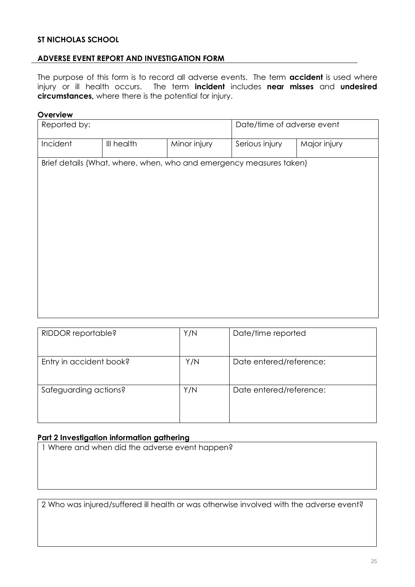#### **ST NICHOLAS SCHOOL**

#### **ADVERSE EVENT REPORT AND INVESTIGATION FORM**

The purpose of this form is to record all adverse events. The term **accident** is used where injury or ill health occurs. The term **incident** includes **near misses** and **undesired circumstances,** where there is the potential for injury.

#### **Overview**

| Reported by: |            |              | Date/time of adverse event                                          |              |
|--------------|------------|--------------|---------------------------------------------------------------------|--------------|
| Incident     | III health | Minor injury | Serious injury                                                      | Major injury |
|              |            |              | Brief details (What, where, when, who and emergency measures taken) |              |
|              |            |              |                                                                     |              |
|              |            |              |                                                                     |              |

| RIDDOR reportable?      | Y/N | Date/time reported      |
|-------------------------|-----|-------------------------|
| Entry in accident book? | Y/N | Date entered/reference: |
| Safeguarding actions?   | Y/N | Date entered/reference: |

#### **Part 2 Investigation information gathering**

1 Where and when did the adverse event happen?

2 Who was injured/suffered ill health or was otherwise involved with the adverse event?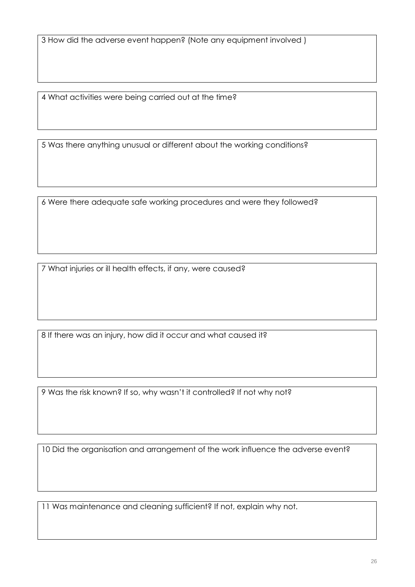4 What activities were being carried out at the time?

5 Was there anything unusual or different about the working conditions?

6 Were there adequate safe working procedures and were they followed?

7 What injuries or ill health effects, if any, were caused?

8 If there was an injury, how did it occur and what caused it?

9 Was the risk known? If so, why wasn't it controlled? If not why not?

10 Did the organisation and arrangement of the work influence the adverse event?

11 Was maintenance and cleaning sufficient? If not, explain why not.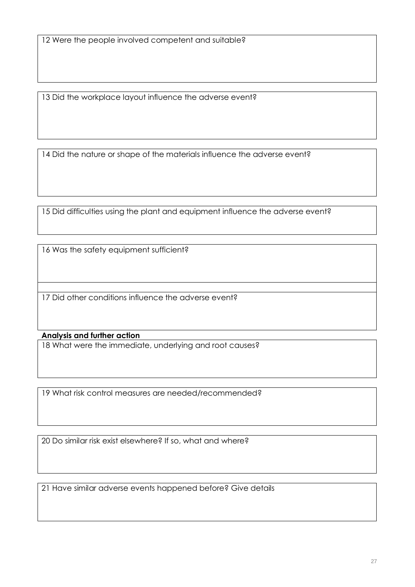13 Did the workplace layout influence the adverse event?

14 Did the nature or shape of the materials influence the adverse event?

15 Did difficulties using the plant and equipment influence the adverse event?

16 Was the safety equipment sufficient?

17 Did other conditions influence the adverse event?

#### **Analysis and further action**

18 What were the immediate, underlying and root causes?

19 What risk control measures are needed/recommended?

20 Do similar risk exist elsewhere? If so, what and where?

21 Have similar adverse events happened before? Give details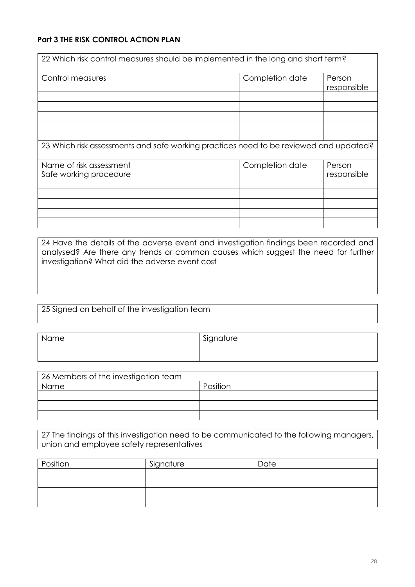## **Part 3 THE RISK CONTROL ACTION PLAN**

| 22 Which risk control measures should be implemented in the long and short term?      |                 |             |
|---------------------------------------------------------------------------------------|-----------------|-------------|
|                                                                                       |                 |             |
| Control measures                                                                      | Completion date | Person      |
|                                                                                       |                 | responsible |
|                                                                                       |                 |             |
|                                                                                       |                 |             |
|                                                                                       |                 |             |
|                                                                                       |                 |             |
|                                                                                       |                 |             |
| 23 Which risk assessments and safe working practices need to be reviewed and updated? |                 |             |
| Name of risk assessment                                                               | Completion date | Person      |
| Safe working procedure                                                                |                 | responsible |
|                                                                                       |                 |             |
|                                                                                       |                 |             |
|                                                                                       |                 |             |
|                                                                                       |                 |             |
|                                                                                       |                 |             |

24 Have the details of the adverse event and investigation findings been recorded and analysed? Are there any trends or common causes which suggest the need for further investigation? What did the adverse event cost

25 Signed on behalf of the investigation team

| Name | Signature |
|------|-----------|
|      |           |

| 26 Members of the investigation team |          |  |
|--------------------------------------|----------|--|
| Name                                 | Position |  |
|                                      |          |  |
|                                      |          |  |
|                                      |          |  |

27 The findings of this investigation need to be communicated to the following managers, union and employee safety representatives

| Position | Signature | Date |
|----------|-----------|------|
|          |           |      |
|          |           |      |
|          |           |      |
|          |           |      |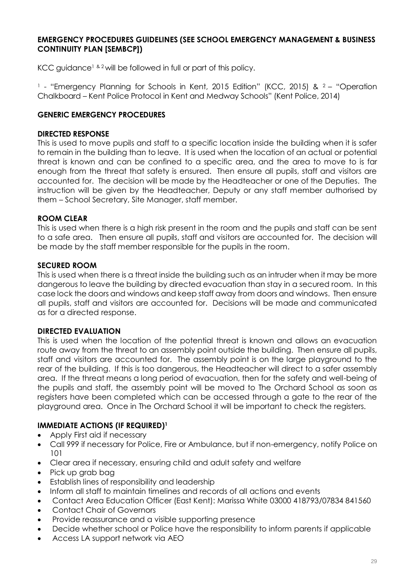#### **EMERGENCY PROCEDURES GUIDELINES (SEE SCHOOL EMERGENCY MANAGEMENT & BUSINESS CONTINUITY PLAN [SEMBCP])**

KCC quidance<sup>1 & 2</sup> will be followed in full or part of this policy.

<sup>1</sup> - "Emergency Planning for Schools in Kent, 2015 Edition" (KCC, 2015) & <sup>2</sup> - "Operation Chalkboard – Kent Police Protocol in Kent and Medway Schools" (Kent Police, 2014)

#### **GENERIC EMERGENCY PROCEDURES**

#### **DIRECTED RESPONSE**

This is used to move pupils and staff to a specific location inside the building when it is safer to remain in the building than to leave. It is used when the location of an actual or potential threat is known and can be confined to a specific area, and the area to move to is far enough from the threat that safety is ensured. Then ensure all pupils, staff and visitors are accounted for. The decision will be made by the Headteacher or one of the Deputies. The instruction will be given by the Headteacher, Deputy or any staff member authorised by them – School Secretary, Site Manager, staff member.

#### **ROOM CLEAR**

This is used when there is a high risk present in the room and the pupils and staff can be sent to a safe area. Then ensure all pupils, staff and visitors are accounted for. The decision will be made by the staff member responsible for the pupils in the room.

#### **SECURED ROOM**

This is used when there is a threat inside the building such as an intruder when it may be more dangerous to leave the building by directed evacuation than stay in a secured room. In this case lock the doors and windows and keep staff away from doors and windows. Then ensure all pupils, staff and visitors are accounted for. Decisions will be made and communicated as for a directed response.

#### **DIRECTED EVALUATION**

This is used when the location of the potential threat is known and allows an evacuation route away from the threat to an assembly point outside the building. Then ensure all pupils, staff and visitors are accounted for. The assembly point is on the large playground to the rear of the building. If this is too dangerous, the Headteacher will direct to a safer assembly area. If the threat means a long period of evacuation, then for the safety and well-being of the pupils and staff, the assembly point will be moved to The Orchard School as soon as registers have been completed which can be accessed through a gate to the rear of the playground area. Once in The Orchard School it will be important to check the registers.

#### **IMMEDIATE ACTIONS (IF REQUIRED)<sup>1</sup>**

- Apply First aid if necessary
- Call 999 if necessary for Police, Fire or Ambulance, but if non-emergency, notify Police on 101
- Clear area if necessary, ensuring child and adult safety and welfare
- Pick up grab bag
- Establish lines of responsibility and leadership
- Inform all staff to maintain timelines and records of all actions and events
- Contact Area Education Officer (East Kent): Marissa White 03000 418793/07834 841560
- Contact Chair of Governors
- Provide reassurance and a visible supporting presence
- Decide whether school or Police have the responsibility to inform parents if applicable
- Access LA support network via AEO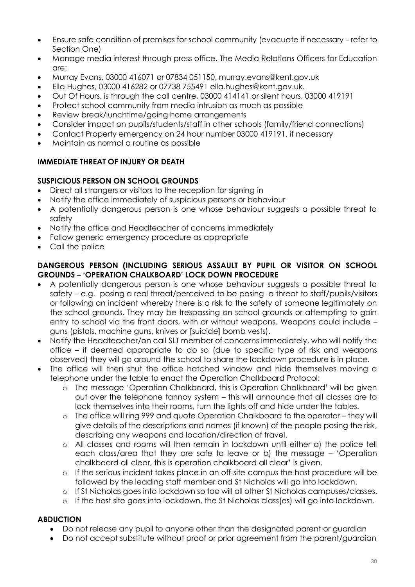- Ensure safe condition of premises for school community (evacuate if necessary refer to Section One)
- Manage media interest through press office. The Media Relations Officers for Education are:
- Murray Evans, 03000 416071 or 07834 051150, murray.evans@kent.gov.uk
- Ella Hughes, 03000 416282 or 07738 755491 ella.hughes@kent.gov.uk.
- Out Of Hours, is through the call centre, 03000 414141 or silent hours, 03000 419191
- Protect school community from media intrusion as much as possible
- Review break/lunchtime/going home arrangements
- Consider impact on pupils/students/staff in other schools (family/friend connections)
- Contact Property emergency on 24 hour number 03000 419191, if necessary
- Maintain as normal a routine as possible

## **IMMEDIATE THREAT OF INJURY OR DEATH**

## **SUSPICIOUS PERSON ON SCHOOL GROUNDS**

- Direct all strangers or visitors to the reception for signing in
- Notify the office immediately of suspicious persons or behaviour
- A potentially dangerous person is one whose behaviour suggests a possible threat to safety
- Notify the office and Headteacher of concerns immediately
- Follow generic emergency procedure as appropriate
- Call the police

#### **DANGEROUS PERSON (INCLUDING SERIOUS ASSAULT BY PUPIL OR VISITOR ON SCHOOL GROUNDS – 'OPERATION CHALKBOARD' LOCK DOWN PROCEDURE**

- A potentially dangerous person is one whose behaviour suggests a possible threat to safety – e.g. posing a real threat/perceived to be posing a threat to staff/pupils/visitors or following an incident whereby there is a risk to the safety of someone legitimately on the school grounds. They may be trespassing on school grounds or attempting to gain entry to school via the front doors, with or without weapons. Weapons could include – guns (pistols, machine guns, knives or [suicide] bomb vests).
- Notify the Headteacher/on call SLT member of concerns immediately, who will notify the office – if deemed appropriate to do so (due to specific type of risk and weapons observed) they will go around the school to share the lockdown procedure is in place.
- The office will then shut the office hatched window and hide themselves moving a telephone under the table to enact the Operation Chalkboard Protocol:
	- o The message 'Operation Chalkboard, this is Operation Chalkboard' will be given out over the telephone tannoy system – this will announce that all classes are to lock themselves into their rooms, turn the lights off and hide under the tables.
	- The office will ring 999 and quote Operation Chalkboard to the operator they will give details of the descriptions and names (if known) of the people posing the risk, describing any weapons and location/direction of travel.
	- o All classes and rooms will then remain in lockdown until either a) the police tell each class/area that they are safe to leave or b) the message – 'Operation chalkboard all clear, this is operation chalkboard all clear' is given.
	- o If the serious incident takes place in an off-site campus the host procedure will be followed by the leading staff member and St Nicholas will go into lockdown.
	- o If St Nicholas goes into lockdown so too will all other St Nicholas campuses/classes.
	- o If the host site goes into lockdown, the St Nicholas class(es) will go into lockdown.

#### **ABDUCTION**

- Do not release any pupil to anyone other than the designated parent or guardian
- Do not accept substitute without proof or prior agreement from the parent/guardian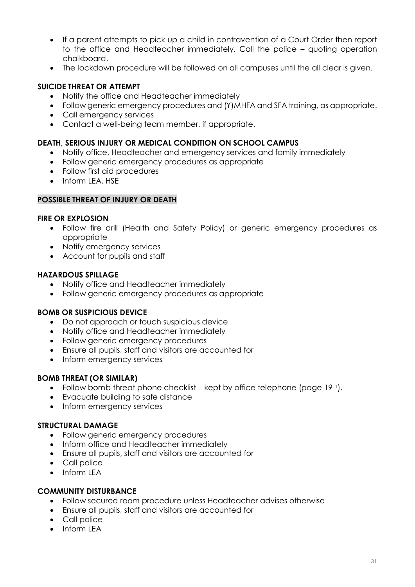- If a parent attempts to pick up a child in contravention of a Court Order then report to the office and Headteacher immediately. Call the police – quoting operation chalkboard.
- The lockdown procedure will be followed on all campuses until the all clear is given.

#### **SUICIDE THREAT OR ATTEMPT**

- Notify the office and Headteacher immediately
- Follow generic emergency procedures and (Y)MHFA and SFA training, as appropriate.
- Call emergency services
- Contact a well-being team member, if appropriate.

#### **DEATH, SERIOUS INJURY OR MEDICAL CONDITION ON SCHOOL CAMPUS**

- Notify office, Headteacher and emergency services and family immediately
- Follow generic emergency procedures as appropriate
- Follow first aid procedures
- Inform LEA, HSE

#### **POSSIBLE THREAT OF INJURY OR DEATH**

#### **FIRE OR EXPLOSION**

- Follow fire drill (Health and Safety Policy) or generic emergency procedures as appropriate
- Notify emergency services
- Account for pupils and staff

#### **HAZARDOUS SPILLAGE**

- Notify office and Headteacher immediately
- Follow generic emergency procedures as appropriate

#### **BOMB OR SUSPICIOUS DEVICE**

- Do not approach or touch suspicious device
- Notify office and Headteacher immediately
- Follow generic emergency procedures
- Ensure all pupils, staff and visitors are accounted for
- Inform emergency services

#### **BOMB THREAT (OR SIMILAR)**

- Follow bomb threat phone checklist kept by office telephone (page  $19<sup>1</sup>$ ).
- Evacuate building to safe distance
- Inform emergency services

#### **STRUCTURAL DAMAGE**

- Follow generic emergency procedures
- Inform office and Headteacher immediately
- Ensure all pupils, staff and visitors are accounted for
- Call police
- Inform LEA

#### **COMMUNITY DISTURBANCE**

- Follow secured room procedure unless Headteacher advises otherwise
- Ensure all pupils, staff and visitors are accounted for
- Call police
- $\bullet$  Inform IFA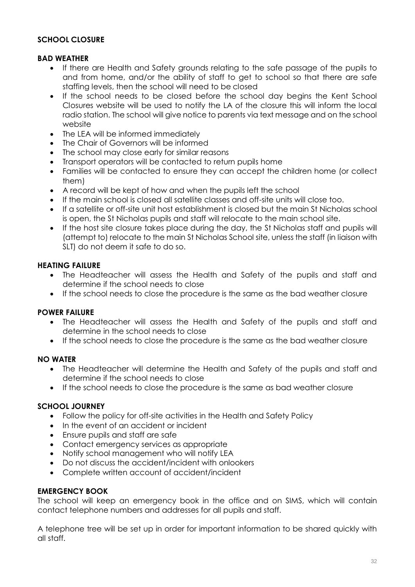#### **SCHOOL CLOSURE**

#### **BAD WEATHER**

- If there are Health and Safety grounds relating to the safe passage of the pupils to and from home, and/or the ability of staff to get to school so that there are safe staffing levels, then the school will need to be closed
- If the school needs to be closed before the school day begins the Kent School Closures website will be used to notify the LA of the closure this will inform the local radio station. The school will give notice to parents via text message and on the school website
- The LEA will be informed immediately
- The Chair of Governors will be informed
- The school may close early for similar reasons
- Transport operators will be contacted to return pupils home
- Families will be contacted to ensure they can accept the children home (or collect them)
- A record will be kept of how and when the pupils left the school
- If the main school is closed all satellite classes and off-site units will close too.
- If a satellite or off-site unit host establishment is closed but the main St Nicholas school is open, the St Nicholas pupils and staff will relocate to the main school site.
- If the host site closure takes place during the day, the St Nicholas staff and pupils will (attempt to) relocate to the main St Nicholas School site, unless the staff (in liaison with SLT) do not deem it safe to do so.

## **HEATING FAILURE**

- The Headteacher will assess the Health and Safety of the pupils and staff and determine if the school needs to close
- If the school needs to close the procedure is the same as the bad weather closure

#### **POWER FAILURE**

- The Headteacher will assess the Health and Safety of the pupils and staff and determine in the school needs to close
- If the school needs to close the procedure is the same as the bad weather closure

#### **NO WATER**

- The Headteacher will determine the Health and Safety of the pupils and staff and determine if the school needs to close
- If the school needs to close the procedure is the same as bad weather closure

#### **SCHOOL JOURNEY**

- Follow the policy for off-site activities in the Health and Safety Policy
- In the event of an accident or incident
- Ensure pupils and staff are safe
- Contact emergency services as appropriate
- Notify school management who will notify LEA
- Do not discuss the accident/incident with onlookers
- Complete written account of accident/incident

#### **EMERGENCY BOOK**

The school will keep an emergency book in the office and on SIMS, which will contain contact telephone numbers and addresses for all pupils and staff.

A telephone tree will be set up in order for important information to be shared quickly with all staff.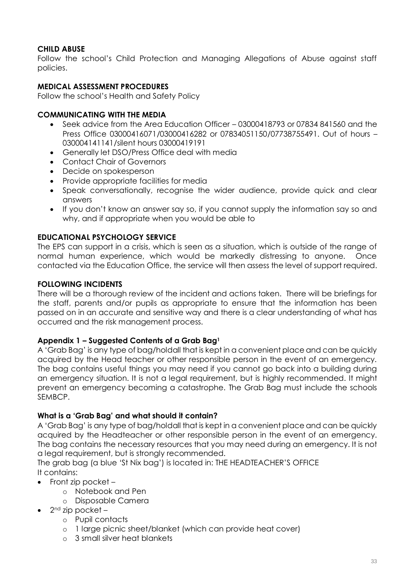## **CHILD ABUSE**

Follow the school's Child Protection and Managing Allegations of Abuse against staff policies.

#### **MEDICAL ASSESSMENT PROCEDURES**

Follow the school's Health and Safety Policy

#### **COMMUNICATING WITH THE MEDIA**

- Seek advice from the Area Education Officer 03000418793 or 07834 841560 and the Press Office 03000416071/03000416282 or 07834051150/07738755491. Out of hours – 030004141141/silent hours 03000419191
- Generally let DSO/Press Office deal with media
- Contact Chair of Governors
- Decide on spokesperson
- Provide appropriate facilities for media
- Speak conversationally, recognise the wider audience, provide quick and clear answers
- If you don't know an answer say so, if you cannot supply the information say so and why, and if appropriate when you would be able to

#### **EDUCATIONAL PSYCHOLOGY SERVICE**

The EPS can support in a crisis, which is seen as a situation, which is outside of the range of normal human experience, which would be markedly distressing to anyone. Once contacted via the Education Office, the service will then assess the level of support required.

#### **FOLLOWING INCIDENTS**

There will be a thorough review of the incident and actions taken. There will be briefings for the staff, parents and/or pupils as appropriate to ensure that the information has been passed on in an accurate and sensitive way and there is a clear understanding of what has occurred and the risk management process.

#### **Appendix 1 – Suggested Contents of a Grab Bag<sup>1</sup>**

A 'Grab Bag' is any type of bag/holdall that is kept in a convenient place and can be quickly acquired by the Head teacher or other responsible person in the event of an emergency. The bag contains useful things you may need if you cannot go back into a building during an emergency situation. It is not a legal requirement, but is highly recommended. It might prevent an emergency becoming a catastrophe. The Grab Bag must include the schools SEMBCP.

#### **What is a 'Grab Bag' and what should it contain?**

A 'Grab Bag' is any type of bag/holdall that is kept in a convenient place and can be quickly acquired by the Headteacher or other responsible person in the event of an emergency. The bag contains the necessary resources that you may need during an emergency. It is not a legal requirement, but is strongly recommended.

The grab bag (a blue 'St Nix bag') is located in: THE HEADTEACHER'S OFFICE It contains:

- Front zip pocket
	- o Notebook and Pen
	- o Disposable Camera
- $\bullet$  2<sup>nd</sup> zip pocket
	- o Pupil contacts
	- o 1 large picnic sheet/blanket (which can provide heat cover)
	- o 3 small silver heat blankets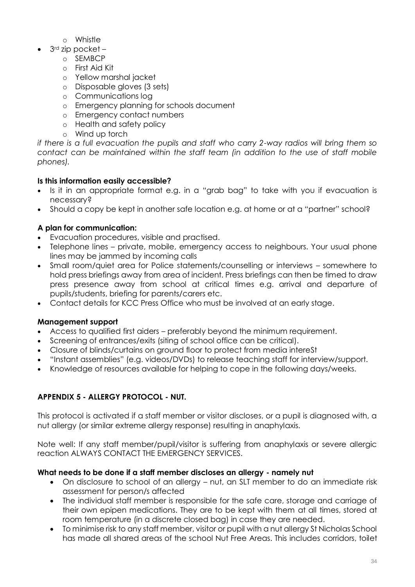- o Whistle
- 3<sup>rd</sup> zip pocket
	- o SEMBCP
	- o First Aid Kit
	- o Yellow marshal jacket
	- o Disposable gloves (3 sets)
	- o Communications log
	- o Emergency planning for schools document
	- o Emergency contact numbers
	- o Health and safety policy
	- o Wind up torch

*if there is a full evacuation the pupils and staff who carry 2-way radios will bring them so contact can be maintained within the staff team (in addition to the use of staff mobile phones).*

# **Is this information easily accessible?**

- Is it in an appropriate format e.g. in a "grab bag" to take with you if evacuation is necessary?
- Should a copy be kept in another safe location e.g. at home or at a "partner" school?

# **A plan for communication:**

- Evacuation procedures, visible and practised.
- Telephone lines private, mobile, emergency access to neighbours. Your usual phone lines may be jammed by incoming calls
- Small room/quiet area for Police statements/counselling or interviews somewhere to hold press briefings away from area of incident. Press briefings can then be timed to draw press presence away from school at critical times e.g. arrival and departure of pupils/students, briefing for parents/carers etc.
- Contact details for KCC Press Office who must be involved at an early stage.

# **Management support**

- Access to qualified first aiders preferably beyond the minimum requirement.
- Screening of entrances/exits (siting of school office can be critical).
- Closure of blinds/curtains on ground floor to protect from media intereSt
- "Instant assemblies" (e.g. videos/DVDs) to release teaching staff for interview/support.
- Knowledge of resources available for helping to cope in the following days/weeks.

# **APPENDIX 5 - ALLERGY PROTOCOL - NUT.**

This protocol is activated if a staff member or visitor discloses, or a pupil is diagnosed with, a nut allergy (or similar extreme allergy response) resulting in anaphylaxis.

Note well: If any staff member/pupil/visitor is suffering from anaphylaxis or severe allergic reaction ALWAYS CONTACT THE EMERGENCY SERVICES.

## **What needs to be done if a staff member discloses an allergy - namely nut**

- On disclosure to school of an allergy nut, an SLT member to do an immediate risk assessment for person/s affected
- The individual staff member is responsible for the safe care, storage and carriage of their own epipen medications. They are to be kept with them at all times, stored at room temperature (in a discrete closed bag) in case they are needed.
- To minimise risk to any staff member, visitor or pupil with a nut allergy St Nicholas School has made all shared areas of the school Nut Free Areas. This includes corridors, toilet